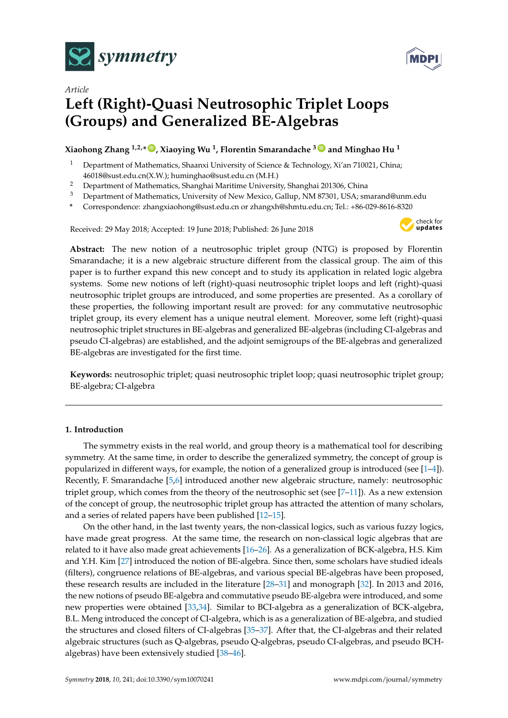



# *Article* **Left (Right)-Quasi Neutrosophic Triplet Loops (Groups) and Generalized BE-Algebras**

## **Xiaohong Zhang 1,2,\* [ID](https://orcid.org/0000-0003-2320-0884) , Xiaoying Wu <sup>1</sup> , Florentin Smarandache <sup>3</sup> [ID](https://orcid.org/0000-0002-5560-5926) and Minghao Hu <sup>1</sup>**

- <sup>1</sup> Department of Mathematics, Shaanxi University of Science & Technology, Xi'an 710021, China; 46018@sust.edu.cn(X.W.); huminghao@sust.edu.cn (M.H.)
- <sup>2</sup> Department of Mathematics, Shanghai Maritime University, Shanghai 201306, China
- <sup>3</sup> Department of Mathematics, University of New Mexico, Gallup, NM 87301, USA; smarand@unm.edu
- **\*** Correspondence: zhangxiaohong@sust.edu.cn or zhangxh@shmtu.edu.cn; Tel.: +86-029-8616-8320

Received: 29 May 2018; Accepted: 19 June 2018; Published: 26 June 2018



**Abstract:** The new notion of a neutrosophic triplet group (NTG) is proposed by Florentin Smarandache; it is a new algebraic structure different from the classical group. The aim of this paper is to further expand this new concept and to study its application in related logic algebra systems. Some new notions of left (right)-quasi neutrosophic triplet loops and left (right)-quasi neutrosophic triplet groups are introduced, and some properties are presented. As a corollary of these properties, the following important result are proved: for any commutative neutrosophic triplet group, its every element has a unique neutral element. Moreover, some left (right)-quasi neutrosophic triplet structures in BE-algebras and generalized BE-algebras (including CI-algebras and pseudo CI-algebras) are established, and the adjoint semigroups of the BE-algebras and generalized BE-algebras are investigated for the first time.

**Keywords:** neutrosophic triplet; quasi neutrosophic triplet loop; quasi neutrosophic triplet group; BE-algebra; CI-algebra

## **1. Introduction**

The symmetry exists in the real world, and group theory is a mathematical tool for describing symmetry. At the same time, in order to describe the generalized symmetry, the concept of group is popularized in different ways, for example, the notion of a generalized group is introduced (see [\[1–](#page-16-0)[4\]](#page-16-1)). Recently, F. Smarandache [\[5](#page-16-2)[,6\]](#page-16-3) introduced another new algebraic structure, namely: neutrosophic triplet group, which comes from the theory of the neutrosophic set (see [\[7–](#page-16-4)[11\]](#page-16-5)). As a new extension of the concept of group, the neutrosophic triplet group has attracted the attention of many scholars, and a series of related papers have been published [\[12](#page-16-6)[–15\]](#page-16-7).

On the other hand, in the last twenty years, the non-classical logics, such as various fuzzy logics, have made great progress. At the same time, the research on non-classical logic algebras that are related to it have also made great achievements [\[16–](#page-16-8)[26\]](#page-16-9). As a generalization of BCK-algebra, H.S. Kim and Y.H. Kim [\[27\]](#page-16-10) introduced the notion of BE-algebra. Since then, some scholars have studied ideals (filters), congruence relations of BE-algebras, and various special BE-algebras have been proposed, these research results are included in the literature [\[28–](#page-16-11)[31\]](#page-16-12) and monograph [\[32\]](#page-16-13). In 2013 and 2016, the new notions of pseudo BE-algebra and commutative pseudo BE-algebra were introduced, and some new properties were obtained [\[33,](#page-17-0)[34\]](#page-17-1). Similar to BCI-algebra as a generalization of BCK-algebra, B.L. Meng introduced the concept of CI-algebra, which is as a generalization of BE-algebra, and studied the structures and closed filters of CI-algebras [\[35](#page-17-2)[–37\]](#page-17-3). After that, the CI-algebras and their related algebraic structures (such as Q-algebras, pseudo Q-algebras, pseudo CI-algebras, and pseudo BCHalgebras) have been extensively studied [\[38](#page-17-4)[–46\]](#page-17-5).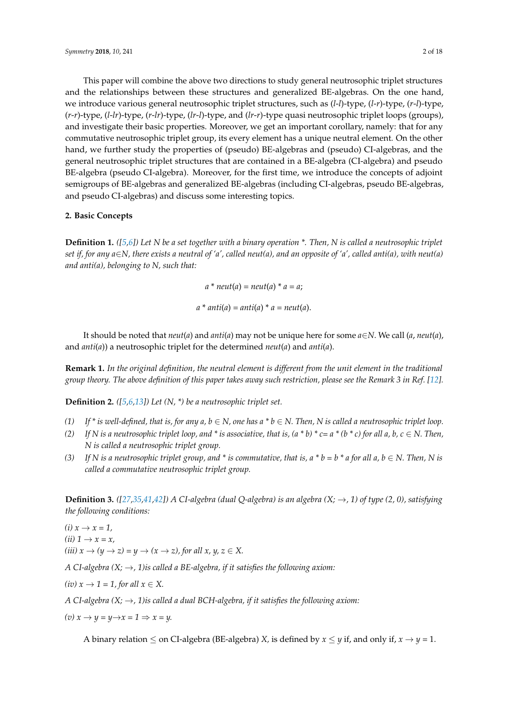This paper will combine the above two directions to study general neutrosophic triplet structures and the relationships between these structures and generalized BE-algebras. On the one hand, we introduce various general neutrosophic triplet structures, such as (*l*-*l*)-type, (*l*-*r*)-type, (*r*-*l*)-type, (*r*-*r*)-type, (*l*-*lr*)-type, (*r*-*lr*)-type, (*lr*-*l*)-type, and (*lr*-*r*)-type quasi neutrosophic triplet loops (groups), and investigate their basic properties. Moreover, we get an important corollary, namely: that for any commutative neutrosophic triplet group, its every element has a unique neutral element. On the other hand, we further study the properties of (pseudo) BE-algebras and (pseudo) CI-algebras, and the general neutrosophic triplet structures that are contained in a BE-algebra (CI-algebra) and pseudo BE-algebra (pseudo CI-algebra). Moreover, for the first time, we introduce the concepts of adjoint semigroups of BE-algebras and generalized BE-algebras (including CI-algebras, pseudo BE-algebras, and pseudo CI-algebras) and discuss some interesting topics.

### **2. Basic Concepts**

**Definition 1.** *([\[5,](#page-16-2)[6\]](#page-16-3)) Let N be a set together with a binary operation \*. Then, N is called a neutrosophic triplet set if, for any a*∈*N, there exists a neutral of 'a', called neut(a), and an opposite of 'a', called anti(a), with neut(a) and anti(a), belonging to N, such that:*

$$
a * neut(a) = neut(a) * a = a;
$$
  

$$
a * anti(a) = anti(a) * a = neut(a).
$$

It should be noted that *neut*(*a*) and *anti*(*a*) may not be unique here for some *a*∈*N*. We call (*a*, *neut*(*a*), and *anti*(*a*)) a neutrosophic triplet for the determined *neut*(*a*) and *anti*(*a*).

**Remark 1.** *In the original definition, the neutral element is different from the unit element in the traditional group theory. The above definition of this paper takes away such restriction, please see the Remark 3 in Ref.* [\[12\]](#page-16-6)*.* 

**Definition 2.** *([\[5,](#page-16-2)[6,](#page-16-3)[13\]](#page-16-14)) Let (N, \*) be a neutrosophic triplet set.*

- *(1) If \* is well-defined, that is, for any a, b* ∈ *N, one has a \* b* ∈ *N. Then, N is called a neutrosophic triplet loop.*
- *(2)* If N is a neutrosophic triplet loop, and \* is associative, that is,  $(a * b) * c = a * (b * c)$  for all a, b,  $c \in N$ . Then, *N is called a neutrosophic triplet group.*
- *(3) If N* is a neutrosophic triplet group, and \* is commutative, that is,  $a * b = b * a$  for all  $a, b \in N$ . Then, N is *called a commutative neutrosophic triplet group.*

**Definition 3.**  $([27,35,41,42])$  $([27,35,41,42])$  $([27,35,41,42])$  $([27,35,41,42])$  $([27,35,41,42])$  $([27,35,41,42])$  A CI-algebra (dual Q-algebra) is an algebra  $(X; \rightarrow, 1)$  of type  $(2, 0)$ , satisfying *the following conditions:*

 $(i)$   $x \rightarrow x = 1$ ,  $(ii)$  1  $\rightarrow$  *x* = *x*, *(iii)*  $x \rightarrow (y \rightarrow z) = y \rightarrow (x \rightarrow z)$ , for all  $x, y, z \in X$ .

*A CI-algebra*  $(X; \rightarrow, 1)$  *is called a BE-algebra, if it satisfies the following axiom:* 

 $(iv) x \rightarrow 1 = 1$ , for all  $x \in X$ .

*A CI-algebra (X;* →*, 1)is called a dual BCH-algebra, if it satisfies the following axiom:*

$$
(v) x \rightarrow y = y \rightarrow x = 1 \Rightarrow x = y.
$$

A binary relation  $\leq$  on CI-algebra (BE-algebra) *X*, is defined by  $x \leq y$  if, and only if,  $x \to y = 1$ .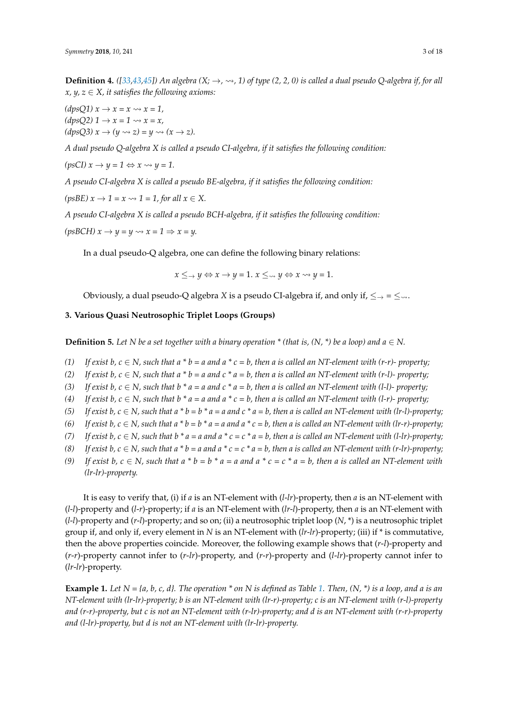**Definition 4.** ([\[33,](#page-17-0)[43,](#page-17-8)[45\]](#page-17-9)) An algebra  $(X; \rightarrow, \rightsquigarrow, 1)$  of type (2, 2, 0) is called a dual pseudo Q-algebra if, for all  $x, y, z \in X$ , it satisfies the following axioms:

 $(dpsQ1)$   $x \rightarrow x = x \rightsquigarrow x = 1$ ,  $(dpsQ2)$   $1 \rightarrow x = 1 \rightsquigarrow x = x$ ,  $(dpsQ3) x \rightarrow (y \rightsquigarrow z) = y \rightsquigarrow (x \rightarrow z).$ 

*A dual pseudo Q-algebra X is called a pseudo CI-algebra, if it satisfies the following condition:*

 $(psCI) x \rightarrow y = 1 \Leftrightarrow x \rightsquigarrow y = 1.$ 

*A pseudo CI-algebra X is called a pseudo BE-algebra, if it satisfies the following condition:*

 $(psBE)$   $x \rightarrow 1 = x \rightsquigarrow 1 = 1$ , for all  $x \in X$ .

*A pseudo CI-algebra X is called a pseudo BCH-algebra, if it satisfies the following condition:*

 $(psBCH) x \rightarrow y = y \rightsquigarrow x = 1 \Rightarrow x = y.$ 

In a dual pseudo-Q algebra, one can define the following binary relations:

 $x \leq y \Leftrightarrow x \to y = 1$ .  $x \leq y \Leftrightarrow x \leadsto y = 1$ .

Obviously, a dual pseudo-Q algebra *X* is a pseudo CI-algebra if, and only if,  $\leq \to \leq \infty$ .

## **3. Various Quasi Neutrosophic Triplet Loops (Groups)**

**Definition 5.** Let N be a set together with a binary operation \* (that is,  $(N, * )$  be a loop) and  $a \in N$ .

- (1) If exist  $b, c \in N$ , such that  $a * b = a$  and  $a * c = b$ , then a is called an NT-element with (r-r)- property;
- *(2) If exist b, c*  $\in$  *N, such that a*  $*$  *b* = *a and c*  $*$  *a* = *b, then a is called an NT-element with (r-l)- property;*
- (3) If exist  $b, c \in N$ , such that  $b * a = a$  and  $c * a = b$ , then a is called an NT-element with (1-1)- property;
- (4) If exist  $b, c \in N$ , such that  $b * a = a$  and  $a * c = b$ , then a is called an NT-element with (l-r)- property;
- (5) If exist  $b, c \in N$ , such that  $a * b = b * a = a$  and  $c * a = b$ , then a is called an NT-element with (lr-l)-property;
- *(6)* If exist b,  $c \in N$ , such that  $a * b = b * a = a$  and  $a * c = b$ , then a is called an NT-element with (lr-r)-property;
- (7) If exist  $b, c \in N$ , such that  $b * a = a$  and  $a * c = c * a = b$ , then a is called an NT-element with (l-lr)-property;
- (8) If exist  $b, c \in N$ , such that  $a * b = a$  and  $a * c = c * a = b$ , then a is called an NT-element with (r-lr)-property;
- (9) If exist  $b, c \in N$ , such that  $a * b = b * a = a$  and  $a * c = c * a = b$ , then a is called an NT-element with *(lr-lr)-property.*

It is easy to verify that, (i) if *a* is an NT-element with (*l*-*lr*)-property, then *a* is an NT-element with (*l*-*l*)-property and (*l*-*r*)-property; if *a* is an NT-element with (*lr*-*l*)-property, then *a* is an NT-element with (*l*-*l*)-property and (*r*-*l*)-property; and so on; (ii) a neutrosophic triplet loop (*N*, \*) is a neutrosophic triplet group if, and only if, every element in *N* is an NT-element with (*lr*-*lr*)-property; (iii) if \* is commutative, then the above properties coincide. Moreover, the following example shows that (*r*-*l*)-property and (*r*-*r*)-property cannot infer to (*r*-*lr*)-property, and (*r*-*r*)-property and (*l*-*lr*)-property cannot infer to (*lr*-*lr*)-property.

**Example 1.** *Let N = {a, b, c, d}. The operation \* on N is defined as Table [1.](#page-3-0) Then, (N, \*) is a loop, and a is an NT-element with (lr-lr)-property; b is an NT-element with (lr-r)-property; c is an NT-element with (r-l)-property and (r-r)-property, but c is not an NT-element with (r-lr)-property; and d is an NT-element with (r-r)-property and (l-lr)-property, but d is not an NT-element with (lr-lr)-property.*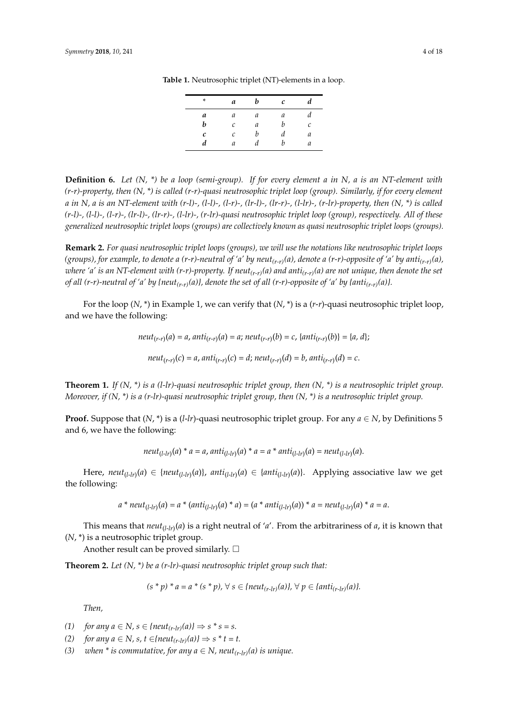| *            | a | b | c | d |
|--------------|---|---|---|---|
| а            | a | а | а |   |
| b            | C | a | h | C |
| $\mathcal C$ | C | h | а | а |
| d            | a |   | h | а |

<span id="page-3-0"></span>**Table 1.** Neutrosophic triplet (NT)-elements in a loop.

**Definition 6.** *Let (N, \*) be a loop (semi-group). If for every element a in N, a is an NT-element with (r-r)-property, then (N, \*) is called (r-r)-quasi neutrosophic triplet loop (group). Similarly, if for every element a in N, a is an NT-element with (r-l)-, (l-l)-, (l-r)-, (lr-l)-, (lr-r)-, (l-lr)-, (r-lr)-property, then (N, \*) is called (r-l)-, (l-l)-, (l-r)-, (lr-l)-, (lr-r)-, (l-lr)-, (r-lr)-quasi neutrosophic triplet loop (group), respectively. All of these generalized neutrosophic triplet loops (groups) are collectively known as quasi neutrosophic triplet loops (groups).*

**Remark 2.** *For quasi neutrosophic triplet loops (groups), we will use the notations like neutrosophic triplet loops (groups), for example, to denote a (r-r)-neutral of 'a' by neut(r-r)(a), denote a (r-r)-opposite of 'a' by anti(r-r)(a), where 'a' is an NT-element with (r-r)-property. If neut(r-r)(a) and anti(r-r)(a) are not unique, then denote the set of all (r-r)-neutral of 'a' by {neut(r-r)(a)}, denote the set of all (r-r)-opposite of 'a' by {anti(r-r)(a)}.*

For the loop (*N*, \*) in Example 1, we can verify that (*N*, \*) is a (*r*-*r*)-quasi neutrosophic triplet loop, and we have the following:

$$
neut_{(r-r)}(a) = a, anti_{(r-r)}(a) = a; neut_{(r-r)}(b) = c, \{anti_{(r-r)}(b)\} = \{a, d\};
$$

$$
neut_{(r-r)}(c) = a, anti_{(r-r)}(c) = d; neut_{(r-r)}(d) = b, anti_{(r-r)}(d) = c.
$$

**Theorem 1.** *If (N, \*) is a (l-lr)-quasi neutrosophic triplet group, then (N, \*) is a neutrosophic triplet group. Moreover, if (N, \*) is a (r-lr)-quasi neutrosophic triplet group, then (N, \*) is a neutrosophic triplet group.*

**Proof.** Suppose that  $(N, * )$  is a  $(l-lr)$ -quasi neutrosophic triplet group. For any  $a \in N$ , by Definitions 5 and 6, we have the following:

$$
neut_{(l-lr)}(a)*a=a,anti_{(l-lr)}(a)*a=a*anti_{(l-lr)}(a)=neut_{(l-lr)}(a).
$$

Here,  $neut_{(l-lr)}(a) \in \{neut_{(l-lr)}(a)\}$ ,  $anti_{(l-lr)}(a) \in \{anti_{(l-lr)}(a)\}$ . Applying associative law we get the following:

$$
a * neut_{(l-lr)}(a) = a * (anti_{(l-lr)}(a) * a) = (a * anti_{(l-lr)}(a)) * a = neut_{(l-lr)}(a) * a = a.
$$

This means that *neut*(*l*-*lr*) (*a*) is a right neutral of '*a*'. From the arbitrariness of *a*, it is known that (*N*, \*) is a neutrosophic triplet group.

Another result can be proved similarly.  $\square$ 

**Theorem 2.** *Let (N, \*) be a (r-lr)-quasi neutrosophic triplet group such that:*

$$
(s * p) * a = a * (s * p), \forall s \in \{neut_{(r-lr)}(a)\}, \forall p \in \{anti_{(r-lr)}(a)\}.
$$

*Then,*

- *(1) for any*  $a \in N$ *,*  $s \in \{neut_{(r-lr)}(a)\} \Rightarrow s * s = s$ .
- *(2) for any a* ∈ *N, s, t* ∈*{neut<sub>(r-lr</sub>)(a)}*  $\Rightarrow$  *s*  $*$  *t* = *t.*
- *(3) when*  $*$  *is commutative, for any a*  $\in$  *N, neut*<sub> $(r-1r)$ </sub> $(a)$  *is unique.*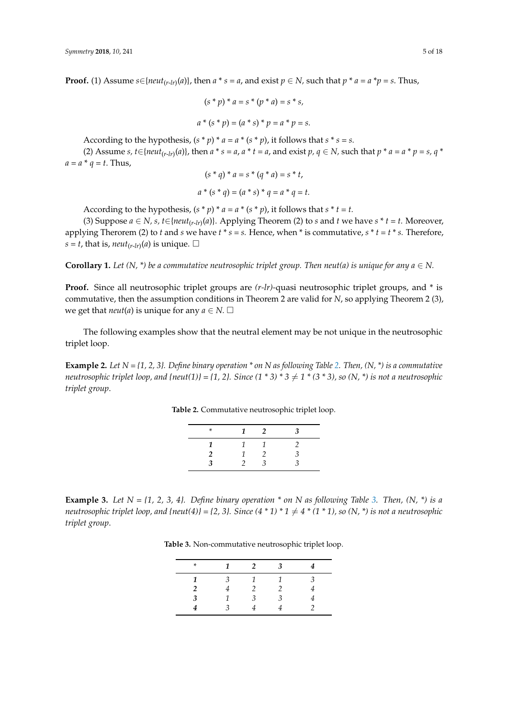**Proof.** (1) Assume  $s \in \{neu_t_{(r-lr)}(a)\}$ , then  $a * s = a$ , and exist  $p \in N$ , such that  $p * a = a * p = s$ . Thus,

$$
(s * p) * a = s * (p * a) = s * s,
$$
  

$$
a * (s * p) = (a * s) * p = a * p = s.
$$

According to the hypothesis,  $(s * p) * a = a * (s * p)$ , it follows that  $s * s = s$ .

(2) Assume *s*,  $t \in \{neut_{(r-lr)}(a)\}$ , then  $a * s = a$ ,  $a * t = a$ , and exist  $p, q \in N$ , such that  $p * a = a * p = s$ ,  $q * a$  $a = a * q = t$ . Thus,

$$
(s * q) * a = s * (q * a) = s * t,
$$
  

$$
a * (s * q) = (a * s) * q = a * q = t.
$$

According to the hypothesis, 
$$
(s * p) * a = a * (s * p)
$$
, it follows that  $s * t = t$ .

(3) Suppose *a* ∈ *N*, *s*, *t*∈{ $neut$ <sub>(*r*-*lr*)</sub>(*a*)}. Applying Theorem (2) to *s* and *t* we have *s* \* *t* = *t*. Moreover, applying Therorem (2) to *t* and *s* we have  $t * s = s$ . Hence, when  $*$  is commutative,  $s * t = t * s$ . Therefore,  $s = t$ , that is,  $neut_{(r-lr)}(a)$  is unique.  $\square$ 

**Corollary 1.** Let  $(N, * )$  be a commutative neutrosophic triplet group. Then neut(a) is unique for any  $a \in N$ .

**Proof.** Since all neutrosophic triplet groups are *(r-lr)-*quasi neutrosophic triplet groups, and \* is commutative, then the assumption conditions in Theorem 2 are valid for *N*, so applying Theorem 2 (3), we get that *neut*(*a*) is unique for any  $a \in N$ .  $\square$ 

The following examples show that the neutral element may be not unique in the neutrosophic triplet loop.

<span id="page-4-0"></span>**Example 2.** *Let N = {1, 2, 3}. Define binary operation \* on N as following Table [2.](#page-4-0) Then, (N, \*) is a commutative neutrosophic triplet loop, and {neut(1)}* = {1, 2}. Since  $(1 * 3) * 3 \neq 1 * (3 * 3)$ , so  $(N, *)$  is not a neutrosophic *triplet group*.

**Table 2.** Commutative neutrosophic triplet loop.

| × |  |  |
|---|--|--|
|   |  |  |
|   |  |  |
|   |  |  |

<span id="page-4-1"></span>**Example [3.](#page-4-1)** *Let*  $N = \{1, 2, 3, 4\}$ . *Define binary operation*  $*$  *on*  $N$  *as following Table* 3. *Then,*  $(N, *)$  *is a neutrosophic triplet loop, and {neut(4)} = {2, 3}. Since (4 \* 1) \* 1*  $\neq$  *4 \* (1 \* 1), so (N, \*) is not a neutrosophic triplet group*.

**Table 3.** Non-commutative neutrosophic triplet loop.

| 1 | 2 | 3 |   |
|---|---|---|---|
| 3 | 1 |   | ≺ |
|   | 2 |   |   |
|   | 3 | 3 |   |
| ∍ |   |   |   |
|   |   |   |   |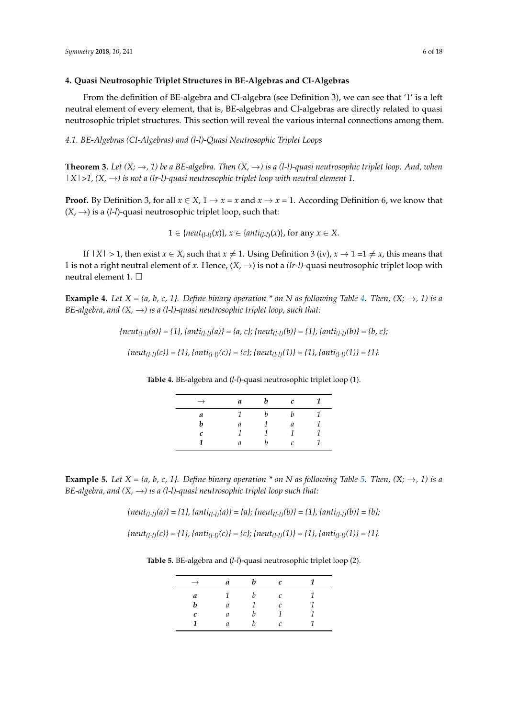#### <span id="page-5-2"></span>**4. Quasi Neutrosophic Triplet Structures in BE-Algebras and CI-Algebras**

From the definition of BE-algebra and CI-algebra (see Definition 3), we can see that '1' is a left neutral element of every element, that is, BE-algebras and CI-algebras are directly related to quasi neutrosophic triplet structures. This section will reveal the various internal connections among them.

*4.1. BE-Algebras (CI-Algebras) and (l-l)-Quasi Neutrosophic Triplet Loops*

**Theorem 3.** *Let*  $(X; \to, 1)$  *be a BE-algebra. Then*  $(X, \to)$  *is a (l-l)-quasi neutrosophic triplet loop. And, when*  $|X|>1$ ,  $(X, \rightarrow)$  *is not a (lr-l)-quasi neutrosophic triplet loop with neutral element 1.* 

**Proof.** By Definition 3, for all  $x \in X$ ,  $1 \to x = x$  and  $x \to x = 1$ . According Definition 6, we know that  $(X, \rightarrow)$  is a (*l*-*l*)-quasi neutrosophic triplet loop, such that:

1 ∈ { $neut_{(l-l)}(x)$ },  $x \in \{anti_{(l-l)}(x)\}$ , for any  $x \in X$ .

If  $|X| > 1$ , then exist  $x \in X$ , such that  $x \neq 1$ . Using Definition 3 (iv),  $x \to 1 = 1 \neq x$ , this means that 1 is not a right neutral element of *x*. Hence,  $(X, \rightarrow)$  is not a *(lr-l)*-quasi neutrosophic triplet loop with neutral element 1.

**Example [4.](#page-5-0)** Let  $X = \{a, b, c, 1\}$ . Define binary operation \* on N as following Table 4. Then,  $(X; \rightarrow, 1)$  is a *BE-algebra, and*  $(X, \rightarrow)$  *is a (l-l)-quasi neutrosophic triplet loop, such that:* 

> <span id="page-5-0"></span> ${neut_{(l-1)}(a)} = {1}, {anti_{(l-1)}(a)} = {a, c}$ ;  ${neut_{(l-1)}(b)} = {1}, {anti_{(l-1)}(b)} = {b, c}$ ;  ${neut}_{(l-1)}(c)$  = {1}, {anti<sub>(l-l)</sub>(c)} = {c}; {neut<sub>(l-l)</sub>(1)} = {1}, {anti<sub>(l-l)</sub>(1)} = {1}.

**Table 4.** BE-algebra and (*l*-*l*)-quasi neutrosophic triplet loop (1).

| $\rightarrow$ | a | b | $\mathcal C$ |  |
|---------------|---|---|--------------|--|
| a             |   | h | h            |  |
| h             | a |   | а            |  |
| c             | 1 |   | 1            |  |
| 1             | а | h | C            |  |

**Example [5.](#page-5-1)** Let  $X = \{a, b, c, 1\}$ . Define binary operation  $*$  on N as following Table 5. Then,  $(X; \rightarrow, 1)$  is a *BE-algebra, and*  $(X, \rightarrow)$  *is a (l-l)-quasi neutrosophic triplet loop such that:* 

 ${neut_{(l-1)}(a)} = {1}, {anti_{(l-1)}(a)} = {a}$ ;  ${neut_{(l-1)}(b)} = {1}, {anti_{(l-1)}(b)} = {b}$ ;

<span id="page-5-1"></span> ${neut}_{(l-1)}(c)$  = {1}, {anti<sub>(l-l)</sub>(c)} = {c}; {neut<sub>(l-l)</sub>(1)} = {1}, {anti<sub>(l-l)</sub>(1)} = {1}.

**Table 5.** BE-algebra and (*l*-*l*)-quasi neutrosophic triplet loop (2).

| $\rightarrow$ | a | $\bm{b}$ | c             |  |
|---------------|---|----------|---------------|--|
| a             |   | h        | $\mathcal{C}$ |  |
| h             | a | 1        | C             |  |
| с             | a | h        |               |  |
|               | a | h        | C             |  |
|               |   |          |               |  |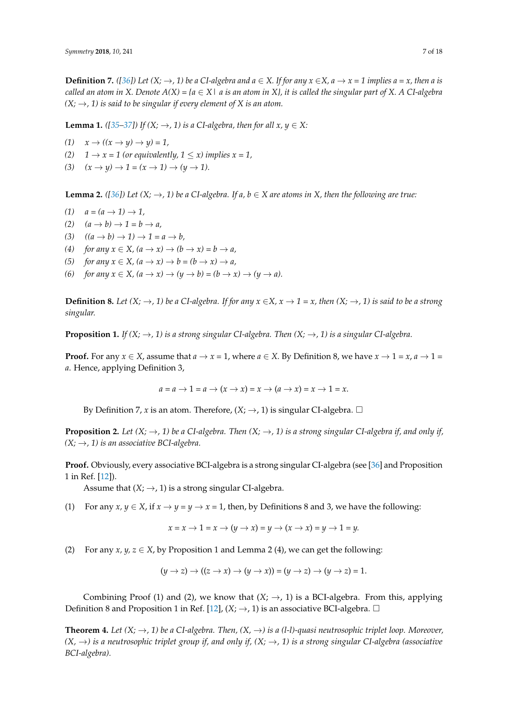**Definition 7.** ([\[36\]](#page-17-10)) Let  $(X; \to, 1)$  be a CI-algebra and  $a \in X$ . If for any  $x \in X$ ,  $a \to x = 1$  implies  $a = x$ , then a is *called an atom in X. Denote*  $A(X) = \{a \in X \mid a \text{ is an atom in } X\}$ *, it is called the singular part of X. A CI-algebra*  $(X; \rightarrow, 1)$  is said to be singular if every element of X is an atom.

**Lemma 1.** *(* $[35-37]$  $[35-37]$ *) If*  $(X; \rightarrow, 1)$  *is a CI-algebra, then for all*  $x, y \in X$ *:* 

- $(1)$   $x \rightarrow ((x \rightarrow y) \rightarrow y) = 1$ ,
- (2)  $1 \rightarrow x = 1$  (or equivalently,  $1 \leq x$ ) implies  $x = 1$ ,
- $(3)$   $(x \rightarrow y) \rightarrow 1 = (x \rightarrow 1) \rightarrow (y \rightarrow 1).$

**Lemma 2.** *(*[\[36\]](#page-17-10)) Let  $(X; \to, 1)$  be a CI-algebra. If a,  $b \in X$  are atoms in X, then the following are true:

- $(1)$   $a = (a \rightarrow 1) \rightarrow 1$ ,
- $(2)$   $(a \rightarrow b) \rightarrow 1 = b \rightarrow a$ ,
- $(3)$   $((a \rightarrow b) \rightarrow 1) \rightarrow 1 = a \rightarrow b$ ,
- (4) *for any*  $x \in X$ ,  $(a \to x) \to (b \to x) = b \to a$ ,
- (5) *for any*  $x \in X$ ,  $(a \to x) \to b = (b \to x) \to a$ ,
- *(6) for any*  $x \in X$ *,*  $(a \to x) \to (y \to b) = (b \to x) \to (y \to a)$ .

**Definition 8.** *Let*  $(X; \to, 1)$  *be a CI-algebra. If for any*  $x \in X$ ,  $x \to 1 = x$ , *then*  $(X; \to, 1)$  *is said to be a strong singular.*

**Proposition 1.** *If* ( $X$ ;  $\rightarrow$ , 1) *is a strong singular* CI-algebra. Then ( $X$ ;  $\rightarrow$ , 1) *is a singular* CI-algebra.

**Proof.** For any  $x \in X$ , assume that  $a \to x = 1$ , where  $a \in X$ . By Definition 8, we have  $x \to 1 = x$ ,  $a \to 1 = x$ *a*. Hence, applying Definition 3,

$$
a = a \rightarrow 1 = a \rightarrow (x \rightarrow x) = x \rightarrow (a \rightarrow x) = x \rightarrow 1 = x.
$$

By Definition 7, *x* is an atom. Therefore,  $(X; \rightarrow, 1)$  is singular CI-algebra.  $\Box$ 

**Proposition 2.** *Let*  $(X; \to, 1)$  *be a CI-algebra. Then*  $(X; \to, 1)$  *is a strong singular CI-algebra if, and only if,*  $(X; \rightarrow, 1)$  *is an associative BCI-algebra.* 

**Proof.** Obviously, every associative BCI-algebra is a strong singular CI-algebra (see [\[36\]](#page-17-10) and Proposition 1 in Ref. [\[12\]](#page-16-6)).

Assume that  $(X; \rightarrow, 1)$  is a strong singular CI-algebra.

(1) For any  $x, y \in X$ , if  $x \to y = y \to x = 1$ , then, by Definitions 8 and 3, we have the following:

$$
x = x \rightarrow 1 = x \rightarrow (y \rightarrow x) = y \rightarrow (x \rightarrow x) = y \rightarrow 1 = y.
$$

(2) For any  $x, y, z \in X$ , by Proposition 1 and Lemma 2 (4), we can get the following:

$$
(y \to z) \to ((z \to x) \to (y \to x)) = (y \to z) \to (y \to z) = 1.
$$

Combining Proof (1) and (2), we know that  $(X; \rightarrow, 1)$  is a BCI-algebra. From this, applying Definition 8 and Proposition 1 in Ref. [\[12\]](#page-16-6),  $(X; \rightarrow, 1)$  is an associative BCI-algebra.  $\Box$ 

**Theorem 4.** Let  $(X; \to, 1)$  be a CI-algebra. Then,  $(X, \to)$  is a (1-1)-quasi neutrosophic triplet loop. Moreover,  $(X, \rightarrow)$  is a neutrosophic triplet group if, and only if,  $(X, \rightarrow)$  is a strong singular CI-algebra (associative *BCI-algebra).*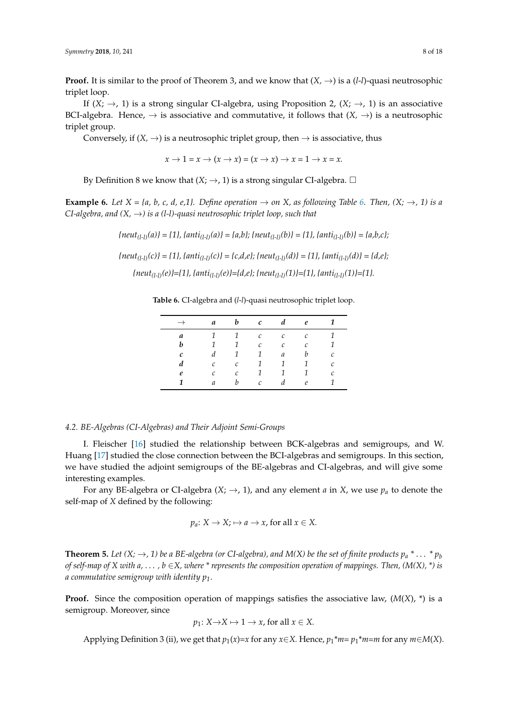**Proof.** It is similar to the proof of Theorem 3, and we know that  $(X, \rightarrow)$  is a  $(l-l)$ -quasi neutrosophic triplet loop.

If  $(X; \rightarrow, 1)$  is a strong singular CI-algebra, using Proposition 2,  $(X; \rightarrow, 1)$  is an associative BCI-algebra. Hence,  $\rightarrow$  is associative and commutative, it follows that  $(X, \rightarrow)$  is a neutrosophic triplet group.

Conversely, if  $(X, \rightarrow)$  is a neutrosophic triplet group, then  $\rightarrow$  is associative, thus

 $x \rightarrow 1 = x \rightarrow (x \rightarrow x) = (x \rightarrow x) \rightarrow x = 1 \rightarrow x = x.$ 

By Definition 8 we know that  $(X; \rightarrow, 1)$  is a strong singular CI-algebra.  $\square$ 

**Example [6.](#page-7-0)** Let  $X = \{a, b, c, d, e, 1\}$ . Define operation  $\rightarrow$  on X, as following Table 6. Then,  $(X; \rightarrow, 1)$  is a *CI-algebra, and*  $(X, \rightarrow)$  *is a (I-I)-quasi neutrosophic triplet loop, such that* 

*{neut(l-l)(a)} = {1}, {anti(l-l)(a)} = {a,b}; {neut(l-l)(b)} = {1}, {anti(l-l)(b)} = {a,b,c};*

<span id="page-7-0"></span> ${neut_{(l-1)}(c)} = {1}, {ant_{(l-1)}(c)} = {c,d,e}; {neut_{(l-1)}(d)} = {1}, {ant_{(l-1)}(d)} = {d,e};$ 

*{neut(l-l)(e)}={1}, {anti(l-l)(e)}={d,e}; {neut(l-l)(1)}={1}, {anti(l-l)(1)}={1}.*

**Table 6.** CI-algebra and (*l*-*l*)-quasi neutrosophic triplet loop.

| $\rightarrow$ | $\boldsymbol{a}$ | $\bm{b}$      | $\mathcal{C}$ |                | $d$ e          | - 1           |
|---------------|------------------|---------------|---------------|----------------|----------------|---------------|
| a             | $\mathcal{I}$    | $1\quad$      | $\mathcal{C}$ | $\mathcal{C}$  | $\mathcal{C}$  | 1             |
| b             | $\mathbf{1}$     | 1             | $\mathcal{C}$ | $\mathcal{C}$  | $\mathcal{C}$  | 1             |
| C             | d                | $\mathcal{I}$ | $\mathcal{I}$ | $\mathfrak{a}$ | b              | $\mathcal{C}$ |
| d             | $\mathcal{C}$    | $\mathcal{C}$ | $\mathcal{I}$ | 1              | $\overline{1}$ | $\mathcal{C}$ |
| e             | $\mathcal{C}$    | $\mathcal{C}$ | $\mathcal{I}$ | $\mathcal{I}$  | $\mathcal{I}$  | $\mathcal{C}$ |
| 1             | a                | b             | $\mathcal{C}$ | d              | $\ell$         | 1             |

#### *4.2. BE-Algebras (CI-Algebras) and Their Adjoint Semi-Groups*

I. Fleischer [\[16\]](#page-16-8) studied the relationship between BCK-algebras and semigroups, and W. Huang [\[17\]](#page-16-15) studied the close connection between the BCI-algebras and semigroups. In this section, we have studied the adjoint semigroups of the BE-algebras and CI-algebras, and will give some interesting examples.

For any BE-algebra or CI-algebra  $(X; \rightarrow, 1)$ , and any element *a* in *X*, we use  $p_a$  to denote the self-map of *X* defined by the following:

$$
p_a
$$
:  $X \to X$ ;  $\mapsto a \to x$ , for all  $x \in X$ .

**Theorem 5.** Let  $(X; \to, 1)$  be a BE-algebra (or CI-algebra), and M(X) be the set of finite products  $p_a * ... * p_b$ *of self-map of X with a, ..., b*  $\in$ *X, where \* represents the composition operation of mappings. Then, (M(X), \*) is a commutative semigroup with identity p1*.

**Proof.** Since the composition operation of mappings satisfies the associative law,  $(M(X), *)$  is a semigroup. Moreover, since

$$
p_1
$$
:  $X \rightarrow X \mapsto 1 \rightarrow x$ , for all  $x \in X$ .

Applying Definition 3 (ii), we get that  $p_1(x)=x$  for any  $x\in X$ . Hence,  $p_1^*m=p_1^*m=m$  for any  $m\in M(X)$ .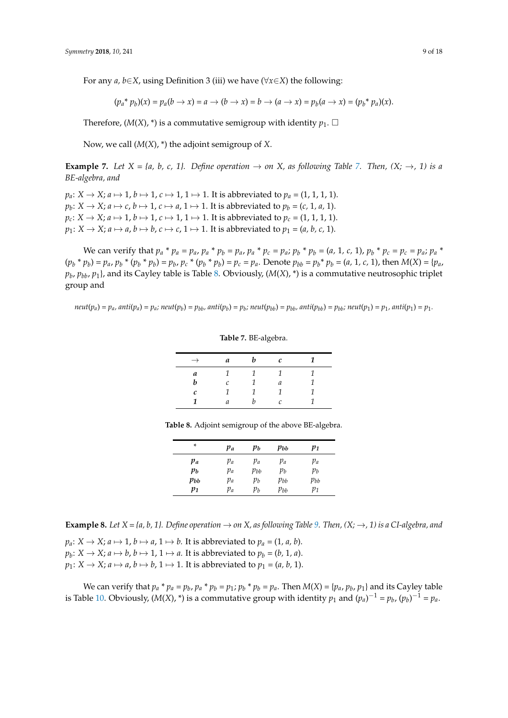For any *a, b*∈*X*, using Definition 3 (iii) we have (∀*x*∈*X*) the following:

 $(p_a * p_b)(x) = p_a(b \to x) = a \to (b \to x) = b \to (a \to x) = p_b(a \to x) = (p_b * p_a)(x).$ 

Therefore,  $(M(X),^*)$  is a commutative semigroup with identity  $p_1$ .  $\Box$ 

Now, we call (*M*(*X*), \*) the adjoint semigroup of *X*.

**Example [7.](#page-8-0)** *Let*  $X = \{a, b, c, 1\}$ . *Define operation*  $\rightarrow$  *on*  $X$ *, as following Table 7. Then,*  $(X; \rightarrow, 1)$  *is a BE-algebra, and*

 $p_a: X \to X$ ;  $a \mapsto 1$ ,  $b \mapsto 1$ ,  $c \mapsto 1$ ,  $1 \mapsto 1$ . It is abbreviated to  $p_a = (1, 1, 1, 1)$ .  $p_b: X \to X$ ;  $a \mapsto c$ ,  $b \mapsto 1$ ,  $c \mapsto a$ ,  $1 \mapsto 1$ . It is abbreviated to  $p_b = (c, 1, a, 1)$ .  $p_c$ :  $X \to X$ ;  $a \mapsto 1$ ,  $b \mapsto 1$ ,  $c \mapsto 1$ ,  $1 \mapsto 1$ . It is abbreviated to  $p_c = (1, 1, 1, 1)$ .  $p_1: X \to X$ ;  $a \mapsto a$ ,  $b \mapsto b$ ,  $c \mapsto c$ ,  $1 \mapsto 1$ . It is abbreviated to  $p_1 = (a, b, c, 1)$ .

We can verify that  $p_a * p_a = p_a$ ,  $p_a * p_b = p_a$ ,  $p_a * p_c = p_a$ ;  $p_b * p_b = (a, 1, c, 1)$ ,  $p_b * p_c = p_c = p_a$ ;  $p_a * p_a = p_a$  $(p_b * p_b) = p_a$ ,  $p_b * (p_b * p_b) = p_b$ ,  $p_c * (p_b * p_b) = p_c = p_a$ . Denote  $p_{bb} = p_b * p_b = (a, 1, c, 1)$ , then  $M(X) = \{p_a, p_b : p_b = p_b : p_b = p_b \}$ *pb* , *pbb*, *p*1}, and its Cayley table is Table [8.](#page-8-1) Obviously, (*M*(*X*), \*) is a commutative neutrosophic triplet group and

<span id="page-8-0"></span> $neut(p_a) = p_a$ ,  $anti(p_a) = p_a$ ;  $neut(p_b) = p_{bb}$ ,  $anti(p_b) = p_b$ ;  $neut(p_{bb}) = p_{bb}$ ,  $anti(p_{bb}) = p_{bb}$ ;  $neut(p_1) = p_1$ ,  $anti(p_1) = p_1$ .

**Table 7.** BE-algebra.

| $\rightarrow$ | a          | h | $\mathcal{C}$ |  |
|---------------|------------|---|---------------|--|
| a             |            |   |               |  |
| h             | $\sqrt{ }$ |   | а             |  |
| c             |            |   | 1             |  |
|               | а          |   | Ċ             |  |

<span id="page-8-1"></span>**Table 8.** Adjoint semigroup of the above BE-algebra.

| *     | pa | pь       | pьь      | $p_1$    |
|-------|----|----------|----------|----------|
| pa    | pа | pа       | pa       | $p_a$    |
| $p_b$ | pa | $p_{bb}$ | pь       | $p_b$    |
| pbb   | pа | $p_b$    | $p_{bb}$ | $p_{bb}$ |
| $p_1$ | pа | $p_b$    | $p_{bb}$ | $p_1$    |

**Example 8.** *Let*  $X = \{a, b, 1\}$ *. Define operation*  $\rightarrow$  *on*  $X$ *, as following Table* 9*. Then,*  $(X; \rightarrow, 1)$  *is a CI-algebra, and* 

 $p_a: X \to X$ ;  $a \mapsto 1$ ,  $b \mapsto a$ ,  $1 \mapsto b$ . It is abbreviated to  $p_a = (1, a, b)$ .

 $p_b: X \to X; a \mapsto b, b \mapsto 1, 1 \mapsto a$ . It is abbreviated to  $p_b = (b, 1, a)$ .

 $p_1: X \to X$ ;  $a \mapsto a$ ,  $b \mapsto b$ ,  $1 \mapsto 1$ . It is abbreviated to  $p_1 = (a, b, 1)$ .

We can verify that  $p_a * p_a = p_b$ ,  $p_a * p_b = p_1$ ;  $p_b * p_b = p_a$ . Then  $M(X) = \{p_a, p_b, p_1\}$  and its Cayley table is Table [10.](#page-9-1) Obviously,  $(M(X), *)$  is a commutative group with identity  $p_1$  and  $(p_a)^{-1} = p_b$ ,  $(p_b)^{-1} = p_a$ .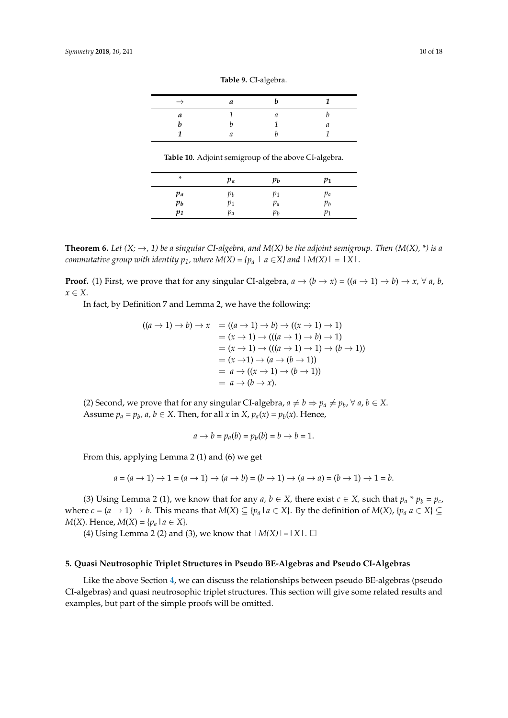|  |  |  | Table 9. CI-algebra. |
|--|--|--|----------------------|
|--|--|--|----------------------|

<span id="page-9-0"></span>

| 14 | u |  |
|----|---|--|
|    |   |  |
|    |   |  |

**Table 10.** Adjoint semigroup of the above CI-algebra.

<span id="page-9-1"></span>

| *     | $p_a$ | $p_b$ | $p_1$    |
|-------|-------|-------|----------|
| $p_a$ | $p_b$ | $p_1$ | pa       |
| pь    | $p_1$ | pa    | $\, p_b$ |
| $p_1$ | $p_a$ | pь    | $p_1$    |

**Theorem 6.** *Let*  $(X; \rightarrow, 1)$  *be a singular CI-algebra, and*  $M(X)$  *be the adjoint semigroup. Then*  $(M(X), *)$  *is a commutative group with identity*  $p_1$ *, where*  $M(X) = \{p_a \mid a \in X\}$  and  $|M(X)| = |X|$ .

**Proof.** (1) First, we prove that for any singular CI-algebra,  $a \rightarrow (b \rightarrow x) = ((a \rightarrow 1) \rightarrow b) \rightarrow x$ ,  $\forall a, b$ , *x* ∈ *X*.

In fact, by Definition 7 and Lemma 2, we have the following:

$$
((a \to 1) \to b) \to x = ((a \to 1) \to b) \to ((x \to 1) \to 1)
$$
  
=  $(x \to 1) \to (((a \to 1) \to b) \to 1)$   
=  $(x \to 1) \to (((a \to 1) \to 1) \to (b \to 1))$   
=  $(x \to 1) \to (a \to (b \to 1))$   
=  $a \to ((x \to 1) \to (b \to 1))$   
=  $a \to (b \to x)$ .

(2) Second, we prove that for any singular CI-algebra,  $a \neq b \Rightarrow p_a \neq p_b$ ,  $\forall a, b \in X$ . Assume  $p_a = p_b$ ,  $a, b \in X$ . Then, for all  $x$  in  $X$ ,  $p_a(x) = p_b(x)$ . Hence,

$$
a \rightarrow b = p_a(b) = p_b(b) = b \rightarrow b = 1.
$$

From this, applying Lemma 2 (1) and (6) we get

$$
a = (a \to 1) \to 1 = (a \to 1) \to (a \to b) = (b \to 1) \to (a \to a) = (b \to 1) \to 1 = b.
$$

(3) Using Lemma 2 (1), we know that for any  $a, b \in X$ , there exist  $c \in X$ , such that  $p_a * p_b = p_c$ , where  $c = (a \rightarrow 1) \rightarrow b$ . This means that  $M(X) \subseteq \{p_a \mid a \in X\}$ . By the definition of  $M(X)$ ,  $\{p_a \mid a \in X\} \subseteq$ *M*(*X*). Hence, *M*(*X*) = { $p_a$  | $a \in X$ }.

(4) Using Lemma 2 (2) and (3), we know that  $|M(X)| = |X|$ .  $\square$ 

## **5. Quasi Neutrosophic Triplet Structures in Pseudo BE-Algebras and Pseudo CI-Algebras**

Like the above Section [4,](#page-5-2) we can discuss the relationships between pseudo BE-algebras (pseudo CI-algebras) and quasi neutrosophic triplet structures. This section will give some related results and examples, but part of the simple proofs will be omitted.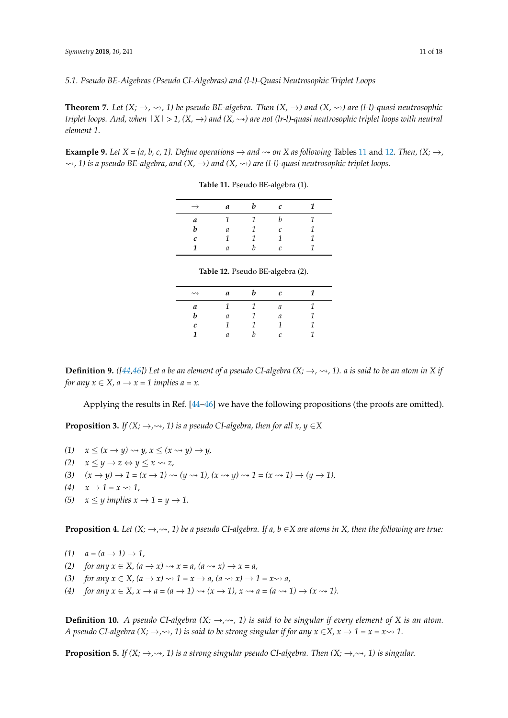**Theorem 7.** *Let*  $(X; \to, \leadsto, 1)$  *be pseudo BE-algebra. Then*  $(X, \to)$  *and*  $(X, \leadsto)$  *are* (*l-l*)-*quasi neutrosophic triplet loops. And, when*  $|X| > 1$ ,  $(X, \rightarrow)$  and  $(X, \rightarrow)$  are not (lr-l)-quasi neutrosophic triplet loops with neutral *element 1*.

<span id="page-10-0"></span>**Example 9.** *Let*  $X = \{a, b, c, 1\}$ *. Define operations*  $\rightarrow$  *and*  $\rightsquigarrow$  *on*  $X$  *as following* Tables [11](#page-10-0) and [12](#page-10-1)*. Then,*  $(X; \rightarrow)$ *,*  $\rightarrow$ , 1) is a pseudo BE-algebra, and  $(X, \rightarrow)$  and  $(X, \rightarrow)$  are (l-l)-quasi neutrosophic triplet loops.

**Table 11.** Pseudo BE-algebra (1).

| $\rightarrow$ | a             | b | $\mathcal{C}$ |  |
|---------------|---------------|---|---------------|--|
| а             | 1             |   | h             |  |
| h             | a             |   | $\mathcal{C}$ |  |
| c             | 1             |   | 1             |  |
| 1             | $\mathfrak a$ | h | C             |  |

**Table 12.** Pseudo BE-algebra (2).

| $\rightsquigarrow$ | a | b | c |  |
|--------------------|---|---|---|--|
| a                  | 1 | 1 | a |  |
| b                  | a | 1 | a |  |
| c                  | 1 | 1 | 1 |  |
| 1                  | a | h | C |  |
|                    |   |   |   |  |

<span id="page-10-1"></span>**Definition 9.** *(* $[44,46]$  $[44,46]$ ) Let a be an element of a pseudo CI-algebra (X;  $\rightarrow$ ,  $\rightsquigarrow$ , 1). a is said to be an atom in X if *for any*  $x \in X$ *, a*  $\rightarrow$   $x = 1$  *implies a* = *x*.

Applying the results in Ref. [\[44–](#page-17-11)[46\]](#page-17-5) we have the following propositions (the proofs are omitted).

**Proposition 3.** *If*  $(X; \rightarrow, \rightsquigarrow, 1)$  *is a pseudo CI-algebra, then for all x, y*  $\in$ *X* 

- $(1)$   $x \leq (x \rightarrow y) \rightsquigarrow y, x \leq (x \rightsquigarrow y) \rightarrow y,$
- *(2)*  $x \leq y \rightarrow z \Leftrightarrow y \leq x \rightsquigarrow z$ ,
- (3)  $(x \rightarrow y) \rightarrow 1 = (x \rightarrow 1) \rightsquigarrow (y \rightsquigarrow 1), (x \rightsquigarrow y) \rightsquigarrow 1 = (x \rightsquigarrow 1) \rightarrow (y \rightarrow 1),$
- $(4)$   $x \rightarrow 1 = x \rightsquigarrow 1$ ,
- (5)  $x \leq y$  implies  $x \to 1 = y \to 1$ .

**Proposition 4.** Let  $(X; \to, \leadsto, 1)$  be a pseudo CI-algebra. If a, b  $\in$ X are atoms in X, then the following are true:

- $(1)$   $a = (a \rightarrow 1) \rightarrow 1$ ,
- *(2) for any*  $x \in X$ *,*  $(a \rightarrow x) \rightsquigarrow x = a$ *,*  $(a \rightsquigarrow x) \rightarrow x = a$ *,*
- (3) *for any*  $x \in X$ ,  $(a \to x) \rightsquigarrow 1 = x \to a$ ,  $(a \rightsquigarrow x) \to 1 = x \rightsquigarrow a$ ,
- (4) *for any*  $x \in X$ ,  $x \to a = (a \to 1) \rightsquigarrow (x \to 1)$ ,  $x \rightsquigarrow a = (a \rightsquigarrow 1) \rightarrow (x \rightsquigarrow 1)$ .

**Definition 10.** *A pseudo CI-algebra*  $(X; \rightarrow, \rightsquigarrow, 1)$  *is said to be singular if every element of* X *is an atom. A* pseudo CI-algebra  $(X; \rightarrow, \rightsquigarrow, 1)$  is said to be strong singular if for any  $x \in X$ ,  $x \rightarrow 1 = x = x \rightsquigarrow 1$ .

**Proposition 5.** *If*  $(X; \to, \leadsto, 1)$  *is a strong singular pseudo CI-algebra. Then*  $(X; \to, \leadsto, 1)$  *is singular.*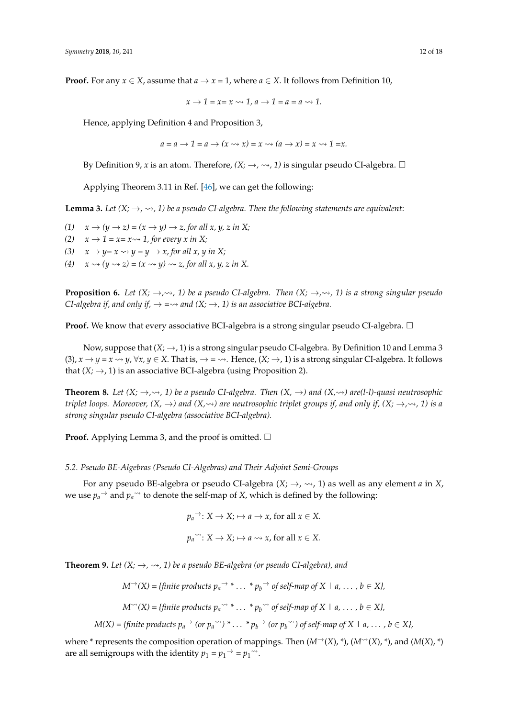**Proof.** For any  $x \in X$ , assume that  $a \to x = 1$ , where  $a \in X$ . It follows from Definition 10,

$$
x \to 1 = x = x \leadsto 1, a \to 1 = a = a \leadsto 1.
$$

Hence, applying Definition 4 and Proposition 3,

$$
a = a \rightarrow 1 = a \rightarrow (x \leadsto x) = x \leadsto (a \rightarrow x) = x \leadsto 1 = x.
$$

By Definition 9, *x* is an atom. Therefore,  $(X; \rightarrow, \rightsquigarrow, 1)$  is singular pseudo CI-algebra.  $\Box$ 

Applying Theorem 3.11 in Ref. [\[46\]](#page-17-5), we can get the following:

**Lemma 3.** Let  $(X; \rightarrow, \rightsquigarrow, 1)$  be a pseudo CI-algebra. Then the following statements are equivalent:

- (1)  $x \rightarrow (y \rightarrow z) = (x \rightarrow y) \rightarrow z$ , for all x, y, z in X;
- *(2)*  $x \rightarrow 1 = x = x \rightarrow 1$ , for every x in X;
- (3)  $x \rightarrow y=x \rightarrow y=y \rightarrow x$ , for all x, y in X;
- (4)  $x \rightsquigarrow (y \rightsquigarrow z) = (x \rightsquigarrow y) \rightsquigarrow z$ , for all  $x, y, z$  in X.

**Proposition 6.** *Let*  $(X; \rightarrow, \rightsquigarrow, 1)$  *be a pseudo CI-algebra. Then*  $(X; \rightarrow, \rightsquigarrow, 1)$  *is a strong singular pseudo CI-algebra if, and only if,*  $\rightarrow \rightarrow \rightarrow$  and  $(X; \rightarrow, 1)$  is an associative BCI-algebra.

**Proof.** We know that every associative BCI-algebra is a strong singular pseudo CI-algebra.  $\Box$ 

Now, suppose that  $(X; \rightarrow, 1)$  is a strong singular pseudo CI-algebra. By Definition 10 and Lemma 3 (3),  $x \to y = x \leadsto y$ ,  $\forall x, y \in X$ . That is,  $\to \infty$ . Hence,  $(X; \to, 1)$  is a strong singular CI-algebra. It follows that  $(X; \rightarrow, 1)$  is an associative BCI-algebra (using Proposition 2).

**Theorem 8.** Let  $(X; \to, \leadsto, 1)$  be a pseudo CI-algebra. Then  $(X, \to)$  and  $(X, \leadsto)$  are(1-1)-quasi neutrosophic *triplet loops. Moreover,*  $(X, \rightarrow)$  and  $(X, \rightarrow)$  are neutrosophic triplet groups if, and only if,  $(X, \rightarrow, \rightsquigarrow, 1)$  is a *strong singular pseudo CI-algebra (associative BCI-algebra).*

**Proof.** Applying Lemma 3, and the proof is omitted.  $\Box$ 

#### *5.2. Pseudo BE-Algebras (Pseudo CI-Algebras) and Their Adjoint Semi-Groups*

For any pseudo BE-algebra or pseudo CI-algebra  $(X; \rightarrow, \rightsquigarrow, 1)$  as well as any element *a* in *X*, we use  $p_a$ <sup> $\rightarrow$ </sup> and  $p_a$ <sup> $\rightarrow$ </sup> to denote the self-map of *X*, which is defined by the following:

> $p_a^{\rightharpoonup}$ : *X* → *X*;  $\mapsto$  *a* → *x*, for all *x* ∈ *X*.  $p_a$ <sup> $\sim$ </sup>: *X*  $\rightarrow$  *X*;  $\mapsto$  *a*  $\sim$  *x*, for all *x*  $\in$  *X*.

**Theorem 9.** Let  $(X; \rightarrow, \rightsquigarrow, 1)$  be a pseudo BE-algebra (or pseudo CI-algebra), and

 $M^{\rightarrow}(X) = \{finite\ products\ p_a^{\rightarrow *}\dots^{\ast}p_b^{\rightarrow} \ of\ self-map\ of\ X\mid a, \dots, b\in X\},$ 

$$
M^{\sim}(X) = \{ \text{finite products } p_a^{\sim*} \cdot \ldots \cdot p_b^{\sim*} \text{ of self-map of } X \mid a, \ldots, b \in X \},
$$

 $M(X) = \{finite\ products\ p_a \to \ (or\ p_a \to)\ * \dots\ * p_b \to \ (or\ p_b \to\ )\ of\ self-map\ of\ X\ \mid\ a,\dots\ ,\ b\in X\},$ 

where \* represents the composition operation of mappings. Then  $(M\rightarrow(X), \ast)$ ,  $(M\rightarrow(X), \ast)$ , and  $(M(X), \ast)$ are all semigroups with the identity  $p_1 = p_1 \rightarrow p_1 \rightarrow p_2$ .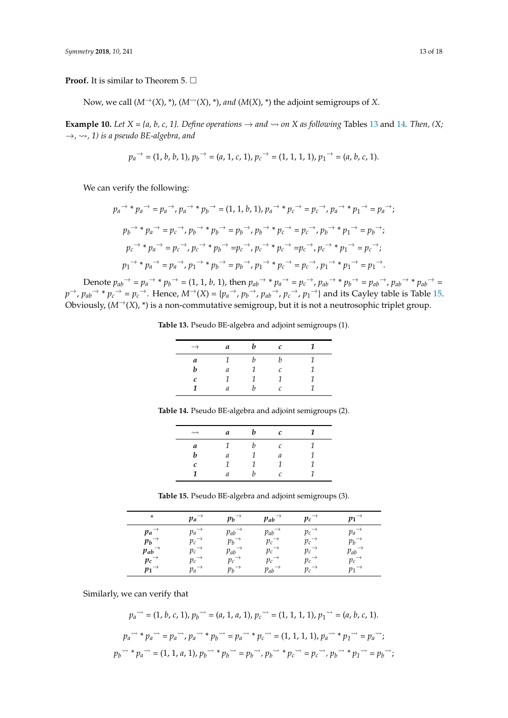**Proof.** It is similar to Theorem 5. □

Now, we call  $(M^{\rightarrow}(X), \ast)$ ,  $(M^{\rightarrow}(X), \ast)$ , *and*  $(M(X), \ast)$  the adjoint semigroups of *X*.

**Example 10.** *Let*  $X = \{a, b, c, 1\}$ *. Define operations*  $\rightarrow$  *and*  $\rightsquigarrow$  *on*  $X$  *as following* Tables [13](#page-12-0) and [14](#page-12-1)*. Then,* (X;  $\rightarrow$ ,  $\rightsquigarrow$ , 1) is a pseudo BE-algebra, and

$$
{p_a}^{\rightarrow}=(1,\,b,\,b,\,1),\,{p_b}^{\rightarrow}=(a,\,1,\,c,\,1),\,{p_c}^{\rightarrow}=(1,\,1,\,1,\,1),\,{p_1}^{\rightarrow}=(a,\,b,\,c,\,1).
$$

We can verify the following:

$$
p_a \rightarrow * p_a \rightarrow = p_a \rightarrow, p_a \rightarrow * p_b \rightarrow = (1, 1, b, 1), p_a \rightarrow * p_c \rightarrow = p_c \rightarrow, p_a \rightarrow * p_1 \rightarrow = p_a \rightarrow;
$$
  
\n
$$
p_b \rightarrow * p_a \rightarrow = p_c \rightarrow, p_b \rightarrow * p_b \rightarrow = p_b \rightarrow, p_b \rightarrow * p_c \rightarrow = p_c \rightarrow, p_b \rightarrow * p_1 \rightarrow = p_b \rightarrow;
$$
  
\n
$$
p_c \rightarrow * p_a \rightarrow = p_c \rightarrow, p_c \rightarrow * p_b \rightarrow = p_c \rightarrow, p_c \rightarrow * p_c \rightarrow = p_c \rightarrow, p_c \rightarrow * p_1 \rightarrow = p_c \rightarrow;
$$
  
\n
$$
p_1 \rightarrow * p_a \rightarrow = p_a \rightarrow, p_1 \rightarrow * p_b \rightarrow = p_b \rightarrow, p_1 \rightarrow * p_c \rightarrow = p_c \rightarrow, p_1 \rightarrow * p_1 \rightarrow = p_1 \rightarrow.
$$

<span id="page-12-0"></span>Denote  $p_{ab} \rightarrow p_a \rightarrow * p_b \rightarrow = (1, 1, b, 1)$ , then  $p_{ab} \rightarrow * p_a \rightarrow = p_c \rightarrow$ ,  $p_{ab} \rightarrow * p_b \rightarrow = p_{ab} \rightarrow$ ,  $p_{ab} \rightarrow * p_{ab} \rightarrow =$  $p\rightarrow$ ,  $p_{ab}\rightarrow$  \*  $p_c\rightarrow$  =  $p_c\rightarrow$ . Hence,  $M\rightarrow$ (X) = { $p_a\rightarrow$ ,  $p_b\rightarrow$ ,  $p_{ab}\rightarrow$ ,  $p_c\rightarrow$ ,  $p_1\rightarrow$ } and its Cayley table is Table [15.](#page-12-2) Obviously,  $(M^{\rightarrow}(X), *)$  is a non-commutative semigroup, but it is not a neutrosophic triplet group.

**Table 13.** Pseudo BE-algebra and adjoint semigroups (1).

| $\rightarrow$ | a | h | с                 | 1 |
|---------------|---|---|-------------------|---|
| a             |   | h | h                 | 1 |
| b             | а | 1 | $\mathcal{C}_{0}$ | 1 |
| c             |   | 1 | 1                 | 1 |
| 1             | a | h | $\mathcal{C}$     |   |

<span id="page-12-1"></span>**Table 14.** Pseudo BE-algebra and adjoint semigroups (2).

| $\rightsquigarrow$ | а | с |  |
|--------------------|---|---|--|
| a                  | ۰ | r |  |
| h                  | а | а |  |
| C                  |   |   |  |
|                    | а |   |  |

**Table 15.** Pseudo BE-algebra and adjoint semigroups (3).

<span id="page-12-2"></span>

| *                   | $p_a$              | $p_b$ | $p_{ab}$ | $p_c$   | $p_1^-$            |
|---------------------|--------------------|-------|----------|---------|--------------------|
| $p_a$               | pa                 | Pab   | $p_{ab}$ | $p_c$   | $p_a$              |
| $p_b$ <sup>-</sup>  | $p_c^-$            | $p_b$ | $p_c$    | $p_c$   | $p_b$              |
| $p_{ab}$            | pс                 | Pab   | $p_c$    | $p_c$   | Pab                |
| $p_c$               | $p_c$              | $p_c$ | $p_c$    | pс      | $p_c$ <sup>-</sup> |
| $p_1$ <sup>-1</sup> | $p_a$ <sup>-</sup> | pь    | $p_{ab}$ | $p_c^-$ |                    |

Similarly, we can verify that

$$
p_a^{\sim} = (1, b, c, 1), p_b^{\sim} = (a, 1, a, 1), p_c^{\sim} = (1, 1, 1, 1), p_1^{\sim} = (a, b, c, 1).
$$
  

$$
p_a^{\sim} * p_a^{\sim} = p_a^{\sim}, p_a^{\sim} * p_b^{\sim} = p_a^{\sim} * p_c^{\sim} = (1, 1, 1, 1), p_a^{\sim} * p_1^{\sim} = p_a^{\sim};
$$
  

$$
p_b^{\sim} * p_a^{\sim} = (1, 1, a, 1), p_b^{\sim} * p_b^{\sim} = p_b^{\sim}, p_b^{\sim} * p_c^{\sim} = p_c^{\sim}, p_b^{\sim} * p_1^{\sim} = p_b^{\sim};
$$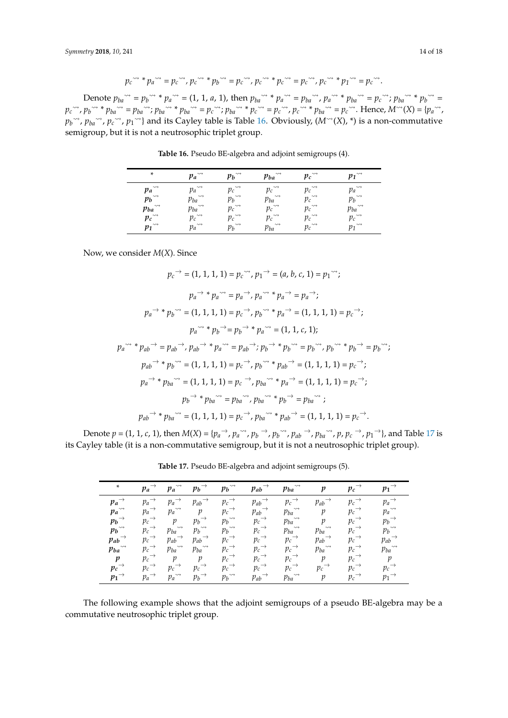$$
p_c \rightarrow \gamma^* p_a \rightarrow \gamma^* = p_c \rightarrow \gamma^* p_b \rightarrow \gamma^* = p_c \rightarrow \gamma^* p_c \rightarrow \gamma^* p_c \rightarrow \gamma^* = p_c \rightarrow \gamma^* p_f \rightarrow \gamma^* = p_c \rightarrow \gamma^*.
$$

<span id="page-13-0"></span>Denote  $p_{ba}^{\rightharpoonup} = p_b^{\rightharpoonup} * p_a^{\rightharpoonup} = (1, 1, a, 1)$ , then  $p_{ba}^{\rightharpoonup} * p_a^{\rightharpoonup} = p_{ba}^{\rightharpoonup}$ ,  $p_a^{\rightharpoonup} * p_{ba}^{\rightharpoonup} = p_c^{\rightharpoonup}$ ;  $p_{ba}^{\rightharpoonup} * p_b^{\rightharpoonup} =$ *pc* , *<sup>p</sup><sup>b</sup>* \* *<sup>p</sup>ba* <sup>=</sup> *<sup>p</sup>ba* ; *<sup>p</sup>ba* \* *<sup>p</sup>ba* <sup>=</sup> *<sup>p</sup><sup>c</sup>* ; *<sup>p</sup>ba* \* *<sup>p</sup><sup>c</sup>* <sup>=</sup> *<sup>p</sup><sup>c</sup>* , *<sup>p</sup><sup>c</sup>* \* *<sup>p</sup>ba* <sup>=</sup> *<sup>p</sup><sup>c</sup>* . Hence, *<sup>M</sup>* (*X*) = {*p<sup>a</sup>* ,  $p_b^{\sim}$ ,  $p_{ba}^{\sim}$ ,  $p_c^{\sim}$ ,  $p_1^{\sim}$ } and its Cayley table is Table [16.](#page-13-0) Obviously,  $(M^{\sim}(X), *)$  is a non-commutative semigroup, but it is not a neutrosophic triplet group.

| *                  | $\rightsquigarrow$ | $\rightsquigarrow$ | $\rightsquigarrow$ | $\rightsquigarrow$ | $\rightsquigarrow$ |
|--------------------|--------------------|--------------------|--------------------|--------------------|--------------------|
|                    | Pa                 | pь                 | Pba                | $p_c$              | 171                |
| $\rightsquigarrow$ | $\rightsquigarrow$ | $\rightsquigarrow$ | $\rightsquigarrow$ | $\rightsquigarrow$ | $\rightsquigarrow$ |
| pa                 | pа                 | $p_c$              | pс                 | νc                 |                    |
| $\rightsquigarrow$ | $\rightsquigarrow$ | $\rightsquigarrow$ | $\rightsquigarrow$ | $\rightsquigarrow$ | $\rightsquigarrow$ |
| pь                 | Pba                | pь                 | Pba                | $p_c^-$            |                    |
| $\rightsquigarrow$ | $\rightsquigarrow$ | $\rightsquigarrow$ | $\rightsquigarrow$ | $\rightsquigarrow$ | $\rightsquigarrow$ |
| Pba                | Pba                | $p_c$              | $p_c$              | pс                 | Pba                |
| $\rightsquigarrow$ | $\rightsquigarrow$ | $\rightsquigarrow$ | $\rightsquigarrow$ | $\rightsquigarrow$ | $\rightsquigarrow$ |
| $p_c$              | $p_c$              | $p_c$              | pс                 | $p_c$              | Ρc                 |
| $\rightsquigarrow$ | $\rightsquigarrow$ | $\rightsquigarrow$ | $\rightsquigarrow$ | $\rightsquigarrow$ | $\rightsquigarrow$ |
| p1                 | $p_a$              | pь                 | Pba                | $p_c$              | $n_1$              |

**Table 16.** Pseudo BE-algebra and adjoint semigroups (4).

Now, we consider *M*(*X*). Since

$$
p_c \rightarrow (1, 1, 1) = p_c \rightarrow p_1 \rightarrow (a, b, c, 1) = p_1 \rightarrow (a, b, c, 1) = p_1 \rightarrow (a, b, c, 1) = p_1 \rightarrow (a, b, c, 1) = p_1 \rightarrow (a, b, c, 1) = p_2 \rightarrow (a, b, c, 1) = p_2 \rightarrow (a, b, c, 1) = p_2 \rightarrow (a, b, c, 1) = p_2 \rightarrow (a, b, c, 1) = p_2 \rightarrow (a, b, c, 1) = p_2 \rightarrow (a, b, c, 1) = p_2 \rightarrow (a, b, c, 1) = p_2 \rightarrow (a, b, c, 1) = p_2 \rightarrow (a, b, c, 1) = p_2 \rightarrow (a, b, c, 1) = p_2 \rightarrow (a, b, c, 1) = p_2 \rightarrow (a, b, c, 1) = p_2 \rightarrow (a, b, c, 1) = p_2 \rightarrow (a, b, c, 1) = p_2 \rightarrow (a, b, c, 1) = p_2 \rightarrow (a, b, c, 1) = p_2 \rightarrow (a, b, c, 1) = p_2 \rightarrow (a, b, c, 1) = p_2 \rightarrow (a, b, c, 1) = p_2 \rightarrow (a, b, c, 1) = p_2 \rightarrow (a, b, c, 1) = p_2 \rightarrow (a, b, c, 1) = p_2 \rightarrow (a, b, c, 1) = p_2 \rightarrow (a, b, c, 1) = p_2 \rightarrow (a, b, c, 1) = p_2 \rightarrow (a, b, c, 1) = p_2 \rightarrow (a, b, c, 1) = p_2 \rightarrow (a, b, c, 1) = p_2 \rightarrow (a, b, c, 1) = p_2 \rightarrow (a, b, c, 1) = p_2 \rightarrow (a, b, c, 1) = p_2 \rightarrow (a, b, c, 1) = p_2 \rightarrow (a, b, c, 1) = p_2 \rightarrow (a, b, c, 1) = p_2 \rightarrow (a, b, c, 1) = p_2 \rightarrow (a, b, c, 1) = p_2 \rightarrow (a, b, c, 1) = p_2 \rightarrow (a, b, c, 1) = p_2 \rightarrow (a, b, c, 1) = p_2 \rightarrow (a, b, c, 1) = p_2 \rightarrow (a, b, c, 1) = p_2 \rightarrow
$$

<span id="page-13-1"></span>Denote  $p=(1, 1, c, 1)$ , then  $M(X) = \{p_a \rightarrow p_a \rightsquigarrow, p_b \rightarrow p_b \rightsquigarrow, p_{ab} \rightarrow p_{ba} \rightsquigarrow, p, p_c \rightarrow p_1 \rightarrow \}$ , and Table [17](#page-13-1) is its Cayley table (it is a non-commutative semigroup, but it is not a neutrosophic triplet group).

| $\ast$                                       | $\rightarrow$<br>$p_a$ | $\rightsquigarrow$<br>$p_a$    | $p_b$ <sup><math>\rightarrow</math></sup>    | $\rightsquigarrow$<br>$p_b$               | $p_{ab}$ <sup><math>\rightarrow</math></sup> | $\rightsquigarrow$<br>$p_{ba}$ | p                                            | $p_c$ <sup><math>\rightarrow</math></sup> | $p_1^{\rightarrow}$                          |
|----------------------------------------------|------------------------|--------------------------------|----------------------------------------------|-------------------------------------------|----------------------------------------------|--------------------------------|----------------------------------------------|-------------------------------------------|----------------------------------------------|
| $p_a$ <sup><math>\rightarrow</math></sup>    | $\rightarrow$<br>$p_a$ | $\rightarrow$<br>$p_a$         | $p_{ab}$ <sup><math>\rightarrow</math></sup> | $p_c \rightarrow$                         | $p_{ab}$ <sup><math>\rightarrow</math></sup> | $p_c \rightarrow$              | $p_{ab}$ <sup><math>\rightarrow</math></sup> | $p_c \rightarrow$                         | $p_a \rightarrow$                            |
| $p_a$ <sup>224</sup>                         | $p_a \rightarrow$      | $\rightsquigarrow$<br>$p_a$    | $\,p\,$                                      | $p_c \rightarrow$                         | $p_{ab} \rightarrow$                         | $\rightsquigarrow$<br>$p_{ba}$ | $\mathfrak{p}$                               | $p_c \rightarrow$                         | $p_a$ <sup><math>\rightarrow</math></sup>    |
| $p_b$ <sup><math>\rightarrow</math></sup>    | $p_c \rightarrow$      | $\boldsymbol{p}$               | $\rightarrow$<br>$p_b^-$                     | $p_b$ <sup><math>\rightarrow</math></sup> | $p_c \rightarrow$                            | $\rightsquigarrow$<br>$p_{ba}$ | $\mathfrak p$                                | $p_c \rightarrow$                         | $p_b \rightarrow$                            |
| $p_b$ <sup><math>\rightarrow</math></sup>    | $p_c \rightarrow$      | $\rightsquigarrow$<br>$p_{ba}$ | $\rightsquigarrow$<br>$p_b$                  | $p_b$ <sup><math>\rightarrow</math></sup> | $p_c \rightarrow$                            | $\rightsquigarrow$<br>$p_{ba}$ | $\rightsquigarrow$<br>$p_{ba}$               | $p_c \rightarrow$                         | $p_b$ <sup>~</sup>                           |
| $p_{ab}$ <sup><math>\rightarrow</math></sup> | $p_c \rightarrow$      | $\rightarrow$<br>$p_{ab}$      | $\rightarrow$<br>$p_{ab}$                    | $p_c \rightarrow$                         | $p_c \rightarrow$                            | $p_c \rightarrow$              | $p_{ab}$ <sup><math>\rightarrow</math></sup> | $p_c \rightarrow$                         | $p_{ab}$ <sup><math>\rightarrow</math></sup> |
| $\rightsquigarrow$<br>$p_{ba}$               | $p_c \rightarrow$      | $\rightsquigarrow$<br>$p_{ba}$ | $\rightsquigarrow$<br>$p_{ba}$               | $p_c \rightarrow$                         | $p_c \rightarrow$                            | $p_c \rightarrow$              | $\rightsquigarrow$<br>$p_{ba}$               | $p_c \rightarrow$                         | $\rightsquigarrow$<br>$p_{ba}$               |
| $\boldsymbol{p}$                             | $p_c \rightarrow$      | $\,p\,$                        | $\,p\,$                                      | $p_c \rightarrow$                         | $p_c \rightarrow$                            | $p_c \rightarrow$              | $\overline{p}$                               | $p_c \rightarrow$                         | $\,p\,$                                      |
| $p_c \rightarrow$                            | $p_c \rightarrow$      | $\rightarrow$<br>$p_c$         | $p_c \rightarrow$                            | $p_c \rightarrow$                         | $p_c \rightarrow$                            | $p_c \rightarrow$              | $p_c \rightarrow$                            | $p_c \rightarrow$                         | $p_c \rightarrow$                            |
| $p_1$ <sup><math>\rightarrow</math></sup>    | $p_a \rightarrow$      | $\rightsquigarrow$<br>$p_a$    | $p_b \rightarrow$                            | $\rightsquigarrow$<br>$p_b$               | $p_{ab}$ <sup><math>\rightarrow</math></sup> | $\rightsquigarrow$<br>$p_{ba}$ | $\mathcal{V}$                                | $p_c \rightarrow$                         | $p_1 \rightarrow$                            |

**Table 17.** Pseudo BE-algebra and adjoint semigroups (5).

The following example shows that the adjoint semigroups of a pseudo BE-algebra may be a commutative neutrosophic triplet group.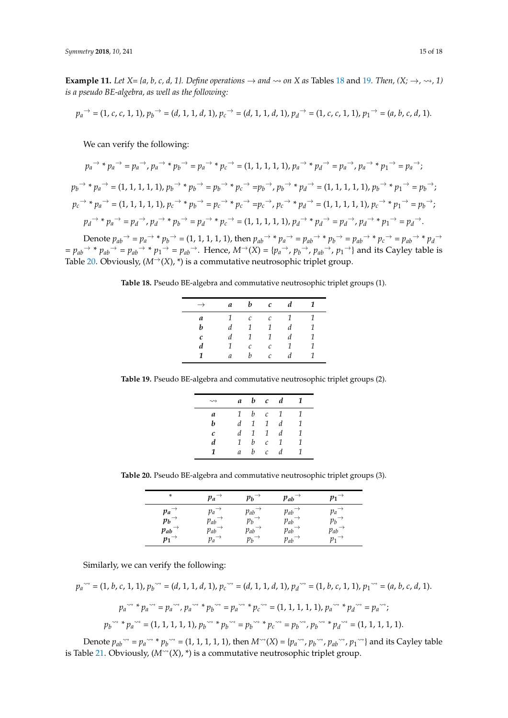**Example 11.** *Let*  $X = \{a, b, c, d, 1\}$ *. Define operations*  $\rightarrow$  *and*  $\sim$  *on*  $X$  *as* Tables [18](#page-14-0) and [19](#page-14-1)*. Then,*  $(X; \rightarrow, \rightsquigarrow, 1)$ *is a pseudo BE-algebra, as well as the following:*

$$
p_a^{\rightarrow} = (1, c, c, 1, 1), p_b^{\rightarrow} = (d, 1, 1, d, 1), p_c^{\rightarrow} = (d, 1, 1, d, 1), p_d^{\rightarrow} = (1, c, c, 1, 1), p_1^{\rightarrow} = (a, b, c, d, 1).
$$

We can verify the following:

$$
p_a \rightarrow * p_a \rightarrow = p_a \rightarrow, p_a \rightarrow * p_b \rightarrow = p_a \rightarrow * p_c \rightarrow = (1, 1, 1, 1, 1), p_a \rightarrow * p_a \rightarrow = p_a \rightarrow, p_a \rightarrow * p_1 \rightarrow = p_a \rightarrow;
$$
  
\n
$$
p_b \rightarrow * p_a \rightarrow = (1, 1, 1, 1, 1), p_b \rightarrow * p_b \rightarrow = p_b \rightarrow * p_c \rightarrow = p_b \rightarrow, p_b \rightarrow * p_d \rightarrow = (1, 1, 1, 1, 1), p_b \rightarrow * p_1 \rightarrow = p_b \rightarrow;
$$
  
\n
$$
p_c \rightarrow * p_a \rightarrow = (1, 1, 1, 1, 1), p_c \rightarrow * p_b \rightarrow = p_c \rightarrow * p_c \rightarrow = p_c \rightarrow, p_c \rightarrow * p_d \rightarrow = (1, 1, 1, 1, 1), p_c \rightarrow * p_1 \rightarrow = p_b \rightarrow;
$$
  
\n
$$
p_a \rightarrow * p_a \rightarrow = p_a \rightarrow, p_a \rightarrow * p_b \rightarrow = p_a \rightarrow * p_c \rightarrow = (1, 1, 1, 1, 1), p_a \rightarrow * p_a \rightarrow = p_a \rightarrow, p_a \rightarrow * p_1 \rightarrow = p_a \rightarrow.
$$
  
\nDenote  $p_{ab} \rightarrow = p_a \rightarrow * p_b \rightarrow = (1, 1, 1, 1, 1),$  then  $p_{ab} \rightarrow * p_a \rightarrow = p_{ab} \rightarrow * p_b \rightarrow = p_{ab} \rightarrow * p_c \rightarrow = p_{ab} \rightarrow * p_d \rightarrow$ 

<span id="page-14-0"></span> $= p_{ab} \rightarrow * p_{ab} \rightarrow = p_{ab} \rightarrow * p_1 \rightarrow = p_{ab} \rightarrow$ . Hence,  $M \rightarrow (X) = \{p_a \rightarrow p_b \rightarrow p_{ab} \rightarrow p_1 \rightarrow \}$  and its Cayley table is Table [20.](#page-14-2) Obviously,  $(M^{\rightarrow}(X), *)$  is a commutative neutrosophic triplet group.

**Table 18.** Pseudo BE-algebra and commutative neutrosophic triplet groups (1).

| $\rightarrow$ | a | $\bm{b}$          | $\mathcal{C}$     | $\boldsymbol{d}$ | 1 |
|---------------|---|-------------------|-------------------|------------------|---|
| a             | 1 | $\mathcal C$      | $\mathcal{C}_{0}$ | 1                | 1 |
| b             | d | <sup>1</sup>      | $\mathcal{I}$     | d                | 1 |
| C             | d | 1                 | $\mathcal{I}$     | d                | 1 |
| d             | 1 | $\mathcal{C}_{0}$ | $\mathcal{C}_{0}$ | 1                | 1 |
| 1             | a | b                 | $\mathcal{C}$     | d                | 1 |

<span id="page-14-1"></span>**Table 19.** Pseudo BE-algebra and commutative neutrosophic triplet groups (2).

|   | a             |               | $b$ c $d$         |                | 1 |
|---|---------------|---------------|-------------------|----------------|---|
| a | $\mathcal{I}$ | b             | $\mathcal{C}$     | $\overline{1}$ | 1 |
| h | d             | $\mathcal{I}$ | $\mathcal{I}$     | d              | 1 |
| C | d             | $\mathcal{I}$ | $\mathbf{1}$      | d              | 1 |
| d | 1             | b             | $\mathcal{C}$     | 1              | 1 |
| 1 | a             | h             | $\mathcal{C}_{0}$ | d              | 1 |

<span id="page-14-2"></span>**Table 20.** Pseudo BE-algebra and commutative neutrosophic triplet groups (3).

| *        | pa       | $p_h$    | Pab      | p1  |
|----------|----------|----------|----------|-----|
| $p_a$    | pa       | $p_{ab}$ | $p_{ab}$ | Pa  |
| $p_b$    | $p_{ab}$ | $p_b$    | $p_{ab}$ | pь  |
| $p_{ab}$ | $p_{ab}$ | Pab      | $p_{ab}$ | Pab |
| $p_1^-$  | pa       | pь       | $p_{ab}$ |     |

Similarly, we can verify the following:

$$
p_a^{\rightsquigarrow} = (1, b, c, 1, 1), p_b^{\rightsquigarrow} = (d, 1, 1, d, 1), p_c^{\rightsquigarrow} = (d, 1, 1, d, 1), p_d^{\rightsquigarrow} = (1, b, c, 1, 1), p_1^{\rightsquigarrow} = (a, b, c, d, 1).
$$

$$
p_a \xrightarrow{a} p_a \xrightarrow{a} p_a \xrightarrow{a} p_a \xrightarrow{a} p_b \xrightarrow{a} p_b \xrightarrow{a} p_c \xrightarrow{a} p_c \xrightarrow{a} q_c \xrightarrow{a} p_c \xrightarrow{a} q_c \xrightarrow{a} p_a \xrightarrow{a} p_a \xrightarrow{a} p_b \xrightarrow{a} p_b \xrightarrow{a} p_b \xrightarrow{a} p_b \xrightarrow{a} p_b \xrightarrow{a} p_b \xrightarrow{a} p_b \xrightarrow{a} p_b \xrightarrow{a} p_b \xrightarrow{a} p_b \xrightarrow{a} p_b \xrightarrow{a} p_b \xrightarrow{a} p_b \xrightarrow{a} p_b \xrightarrow{a} p_b \xrightarrow{a} p_b \xrightarrow{a} p_b \xrightarrow{a} p_b \xrightarrow{a} p_b \xrightarrow{a} p_b \xrightarrow{a} p_b \xrightarrow{a} p_b \xrightarrow{a} p_b \xrightarrow{a} p_b \xrightarrow{a} p_b \xrightarrow{a} p_b \xrightarrow{a} p_b \xrightarrow{a} p_b \xrightarrow{a} p_b \xrightarrow{a} p_b \xrightarrow{a} p_b \xrightarrow{a} p_b \xrightarrow{a} p_b \xrightarrow{a} p_b \xrightarrow{a} p_b \xrightarrow{a} p_b \xrightarrow{a} p_b \xrightarrow{a} p_b \xrightarrow{a} p_b \xrightarrow{a} p_b \xrightarrow{a} p_b \xrightarrow{a} p_b \xrightarrow{a} p_b \xrightarrow{a} p_b \xrightarrow{a} p_b \xrightarrow{a} p_b \xrightarrow{a} p_b \xrightarrow{a} p_b \xrightarrow{a} p_b \xrightarrow{a} p_b \xrightarrow{a} p_b \xrightarrow{a} p_b \xrightarrow{a} p_b \xrightarrow{a} p_b \xrightarrow{a} p_b \xrightarrow{a} p_b \xrightarrow{a} p_b \xrightarrow{a} p_b \xrightarrow{a} p_b \xrightarrow{a} p_b \xrightarrow{a} p_b \xrightarrow{a} p_b \xrightarrow{a} p_b \xrightarrow{a} p_b \xrightarrow{a} p_b \xrightarrow{a} p_b \xrightarrow{a} p_b \xrightarrow{a} p_b \xrightarrow{a} p_b \xrightarrow{a} p_b \xrightarrow{a} p_b \xrightarrow{a} p_b \xrightarrow{a} p_b \xrightarrow{a} p_b \xrightarrow{a} p_b \xrightarrow{a} p_b \xrightarrow{a} p_b \xrightarrow{a} p_b \xrightarrow{a} p_b \xrightarrow{a} p_b \xrightarrow{a} p_b \xrightarrow{a} p_b \xrightarrow{a
$$

Denote  $p_{ab}^{\rightharpoonup} = p_a^{\rightharpoonup} * p_b^{\rightharpoonup} = (1, 1, 1, 1, 1)$ , then  $M^{\rightharpoonup}(X) = \{p_a^{\rightharpoonup}, p_b^{\rightharpoonup}, p_{ab}^{\rightharpoonup}, p_1^{\rightharpoonup} \}$  and its Cayley table is Table [21.](#page-15-0) Obviously,  $(M^{\sim}(X), *)$  is a commutative neutrosophic triplet group.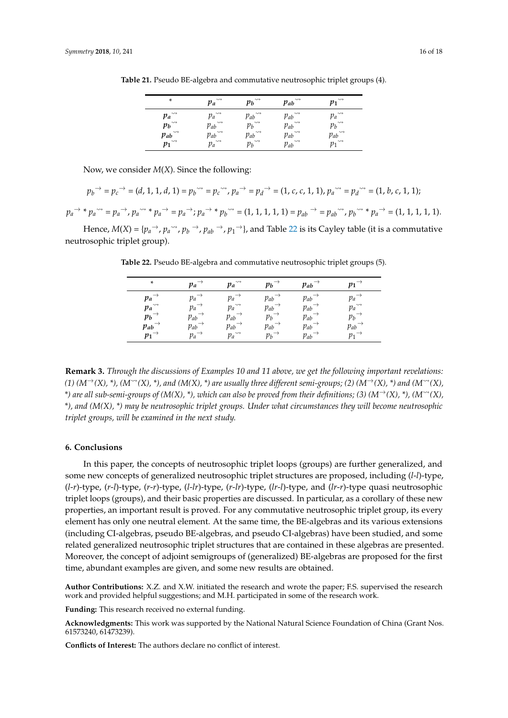| *                                                                                           | $\rightsquigarrow$<br>$p_a$                                                                                                                                                                                                                                                                                                                                                                                                                                                                                                                                                                                                                                                                                                    | $\rightsquigarrow$<br>pь                  | $\rightsquigarrow$<br>$p_{ab}$                                           | $\rightsquigarrow$                                    |
|---------------------------------------------------------------------------------------------|--------------------------------------------------------------------------------------------------------------------------------------------------------------------------------------------------------------------------------------------------------------------------------------------------------------------------------------------------------------------------------------------------------------------------------------------------------------------------------------------------------------------------------------------------------------------------------------------------------------------------------------------------------------------------------------------------------------------------------|-------------------------------------------|--------------------------------------------------------------------------|-------------------------------------------------------|
| $p_a$ <sup>**</sup><br>$p_b$ <sup>**</sup><br>$p_{ab}$ <sup>**</sup><br>$p_1$ <sup>**</sup> | $p_a \rightarrow p_{ab} \rightarrow p_{ab} \rightarrow p_a \rightarrow p_{ab} \rightarrow p_{ab} \rightarrow p_{ab} \rightarrow p_{ab} \rightarrow p_{ab} \rightarrow p_{ab} \rightarrow p_{ab} \rightarrow p_{ab} \rightarrow p_{ab} \rightarrow p_{ab} \rightarrow p_{ab} \rightarrow p_{ab} \rightarrow p_{ab} \rightarrow p_{ab} \rightarrow p_{ab} \rightarrow p_{ab} \rightarrow p_{ab} \rightarrow p_{ab} \rightarrow p_{ab} \rightarrow p_{ab} \rightarrow p_{ab} \rightarrow p_{ab} \rightarrow p_{ab} \rightarrow p_{ab} \rightarrow p_{ab} \rightarrow p_{ab} \rightarrow p_{ab} \rightarrow p_{ab} \rightarrow p_{ab} \rightarrow p_{ab} \rightarrow p_{ab} \rightarrow p_{ab} \rightarrow p_{ab} \rightarrow p_{$ | $p_{ab}^{\sim}$<br>$p_b^{\sim}$           | $p_{ab}^{\sim}$<br>$p_{ab}^{\sim}$<br>$p_{ab}^{\sim}$<br>$p_{ab}^{\sim}$ | $\rightsquigarrow$<br>$p_a$                           |
|                                                                                             |                                                                                                                                                                                                                                                                                                                                                                                                                                                                                                                                                                                                                                                                                                                                |                                           |                                                                          |                                                       |
|                                                                                             | $p_{ab}^{\sim} \over p_a^{\sim}$                                                                                                                                                                                                                                                                                                                                                                                                                                                                                                                                                                                                                                                                                               | Pab                                       |                                                                          | $\rightsquigarrow$<br>$p_{ab}^{\sim}$<br>$p_1^{\sim}$ |
|                                                                                             |                                                                                                                                                                                                                                                                                                                                                                                                                                                                                                                                                                                                                                                                                                                                | $p_b$ <sup><math>\rightarrow</math></sup> |                                                                          |                                                       |

<span id="page-15-0"></span>**Table 21.** Pseudo BE-algebra and commutative neutrosophic triplet groups (4).

Now, we consider *M*(*X*). Since the following:

$$
{p_b}^{\rightarrow} = {p_c}^{\rightarrow} = (d,1,1,d,1) = {p_b}^{\sim} = {p_c}^{\sim}, {p_a}^{\rightarrow} = {p_d}^{\rightarrow} = (1,c,c,1,1), {p_a}^{\sim} = {p_d}^{\sim} = (1,b,c,1,1);
$$

 $p_a \rightarrow * p_a \rightarrow p_a \rightarrow p_a \rightarrow * p_a \rightarrow * p_a \rightarrow * p_a \rightarrow * p_b \rightarrow * (1, 1, 1, 1, 1) = p_{ab} \rightarrow * p_{ab} \rightarrow * p_b \rightarrow * p_a \rightarrow * (1, 1, 1, 1, 1).$ 

<span id="page-15-1"></span>Hence,  $M(X) = \{p_a^\rightarrow, p_a^\rightarrow, p_b^\rightarrow, p_{ab}^\rightarrow, p_1^\rightarrow\}$ , and Table [22](#page-15-1) is its Cayley table (it is a commutative neutrosophic triplet group).

| *                    | $p_a$    | $\rightsquigarrow$<br>pa    | $p_b$ | $p_{ab}$ | $v_1$                    |
|----------------------|----------|-----------------------------|-------|----------|--------------------------|
| pa                   | pа       | Pa                          | Pab   | Pab      | $p_a$ <sup>-1</sup>      |
| $p_a$ <sup>224</sup> | pа       | $\rightsquigarrow$<br>$p_a$ | Pab   | Pab      | $\rightsquigarrow$<br>pa |
| $p_b$                | $p_{ab}$ | $p_{ab}$                    | $p_b$ | $p_{ab}$ | $p_b$                    |
| $p_{ab}$             | $p_{ab}$ | Pab                         | Pab   | $p_{ab}$ | $p_{ab}$                 |
| $p_1$                | pa       | $\rightsquigarrow$<br>$p_a$ | pь    | Pab      | D1                       |

**Table 22.** Pseudo BE-algebra and commutative neutrosophic triplet groups (5).

**Remark 3.** *Through the discussions of Examples 10 and 11 above, we get the following important revelations:*  $(1)$   $(M<sup>\rightarrow</sup>(X), *$ ),  $(M<sup>\rightarrow</sup>(X), *)$ , and  $(M(X), *)$  are usually three different semi-groups; (2)  $(M<sup>\rightarrow</sup>(X), *)$  and  $(M<sup>\rightarrow</sup>(X), *)$ \*) are all sub-semi-groups of (M(X), \*), which can also be proved from their definitions; (3) ( $M^{\rightarrow}(X)$ , \*), ( $M^{\rightarrow}(X)$ , *\*), and (M(X), \*) may be neutrosophic triplet groups. Under what circumstances they will become neutrosophic triplet groups, will be examined in the next study.*

#### **6. Conclusions**

In this paper, the concepts of neutrosophic triplet loops (groups) are further generalized, and some new concepts of generalized neutrosophic triplet structures are proposed, including (*l*-*l*)-type, (*l*-*r*)-type, (*r*-*l*)-type, (*r*-*r*)-type, (*l*-*lr*)-type, (*r*-*lr*)-type, (*lr*-*l*)-type, and (*lr*-*r*)-type quasi neutrosophic triplet loops (groups), and their basic properties are discussed. In particular, as a corollary of these new properties, an important result is proved. For any commutative neutrosophic triplet group, its every element has only one neutral element. At the same time, the BE-algebras and its various extensions (including CI-algebras, pseudo BE-algebras, and pseudo CI-algebras) have been studied, and some related generalized neutrosophic triplet structures that are contained in these algebras are presented. Moreover, the concept of adjoint semigroups of (generalized) BE-algebras are proposed for the first time, abundant examples are given, and some new results are obtained.

**Author Contributions:** X.Z. and X.W. initiated the research and wrote the paper; F.S. supervised the research work and provided helpful suggestions; and M.H. participated in some of the research work.

**Funding:** This research received no external funding.

**Acknowledgments:** This work was supported by the National Natural Science Foundation of China (Grant Nos. 61573240, 61473239).

**Conflicts of Interest:** The authors declare no conflict of interest.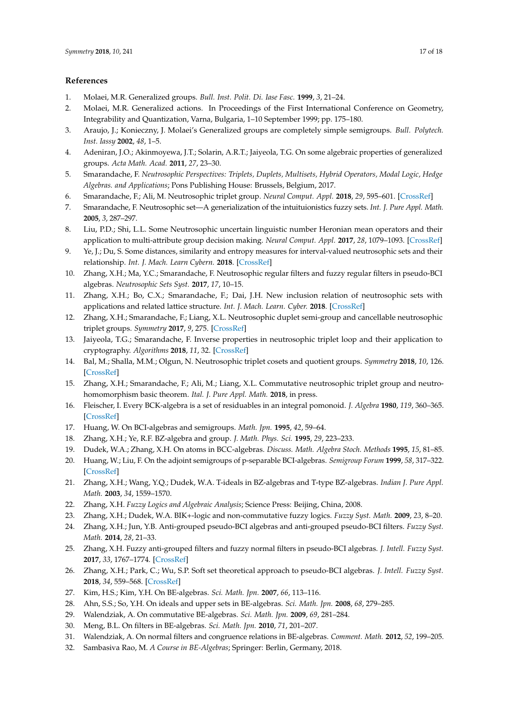#### **References**

- <span id="page-16-0"></span>1. Molaei, M.R. Generalized groups. *Bull. Inst. Polit. Di. Iase Fasc.* **1999**, *3*, 21–24.
- 2. Molaei, M.R. Generalized actions. In Proceedings of the First International Conference on Geometry, Integrability and Quantization, Varna, Bulgaria, 1–10 September 1999; pp. 175–180.
- 3. Araujo, J.; Konieczny, J. Molaei's Generalized groups are completely simple semigroups. *Bull. Polytech. Inst. Iassy* **2002**, *48*, 1–5.
- <span id="page-16-1"></span>4. Adeniran, J.O.; Akinmoyewa, J.T.; Solarin, A.R.T.; Jaiyeola, T.G. On some algebraic properties of generalized groups. *Acta Math. Acad.* **2011**, *27*, 23–30.
- <span id="page-16-2"></span>5. Smarandache, F. *Neutrosophic Perspectives: Triplets, Duplets, Multisets, Hybrid Operators, Modal Logic, Hedge Algebras. and Applications*; Pons Publishing House: Brussels, Belgium, 2017.
- <span id="page-16-3"></span>6. Smarandache, F.; Ali, M. Neutrosophic triplet group. *Neural Comput. Appl.* **2018**, *29*, 595–601. [\[CrossRef\]](http://dx.doi.org/10.1007/s00521-016-2535-x)
- <span id="page-16-4"></span>7. Smarandache, F. Neutrosophic set—A generialization of the intuituionistics fuzzy sets. *Int. J. Pure Appl. Math.* **2005**, *3*, 287–297.
- 8. Liu, P.D.; Shi, L.L. Some Neutrosophic uncertain linguistic number Heronian mean operators and their application to multi-attribute group decision making. *Neural Comput. Appl.* **2017**, *28*, 1079–1093. [\[CrossRef\]](http://dx.doi.org/10.1007/s00521-015-2122-6)
- 9. Ye, J.; Du, S. Some distances, similarity and entropy measures for interval-valued neutrosophic sets and their relationship. *Int. J. Mach. Learn Cybern.* **2018**. [\[CrossRef\]](http://dx.doi.org/10.1007/s13042-017-0719-z)
- 10. Zhang, X.H.; Ma, Y.C.; Smarandache, F. Neutrosophic regular filters and fuzzy regular filters in pseudo-BCI algebras. *Neutrosophic Sets Syst.* **2017**, *17*, 10–15.
- <span id="page-16-5"></span>11. Zhang, X.H.; Bo, C.X.; Smarandache, F.; Dai, J.H. New inclusion relation of neutrosophic sets with applications and related lattice structure. *Int. J. Mach. Learn. Cyber.* **2018**. [\[CrossRef\]](http://dx.doi.org/10.1007/s13042-018-0817-6)
- <span id="page-16-6"></span>12. Zhang, X.H.; Smarandache, F.; Liang, X.L. Neutrosophic duplet semi-group and cancellable neutrosophic triplet groups. *Symmetry* **2017**, *9*, 275. [\[CrossRef\]](http://dx.doi.org/10.3390/sym9110275)
- <span id="page-16-14"></span>13. Jaiyeola, T.G.; Smarandache, F. Inverse properties in neutrosophic triplet loop and their application to cryptography. *Algorithms* **2018**, *11*, 32. [\[CrossRef\]](http://dx.doi.org/10.3390/a11030032)
- 14. Bal, M.; Shalla, M.M.; Olgun, N. Neutrosophic triplet cosets and quotient groups. *Symmetry* **2018**, *10*, 126. [\[CrossRef\]](http://dx.doi.org/10.3390/sym10040126)
- <span id="page-16-7"></span>15. Zhang, X.H.; Smarandache, F.; Ali, M.; Liang, X.L. Commutative neutrosophic triplet group and neutrohomomorphism basic theorem. *Ital. J. Pure Appl. Math.* **2018**, in press.
- <span id="page-16-8"></span>16. Fleischer, I. Every BCK-algebra is a set of residuables in an integral pomonoid. *J. Algebra* **1980**, *119*, 360–365. [\[CrossRef\]](http://dx.doi.org/10.1016/0021-8693(88)90065-8)
- <span id="page-16-15"></span>17. Huang, W. On BCI-algebras and semigroups. *Math. Jpn.* **1995**, *42*, 59–64.
- 18. Zhang, X.H.; Ye, R.F. BZ-algebra and group. *J. Math. Phys. Sci.* **1995**, *29*, 223–233.
- 19. Dudek, W.A.; Zhang, X.H. On atoms in BCC-algebras. *Discuss. Math. Algebra Stoch. Methods* **1995**, *15*, 81–85.
- 20. Huang, W.; Liu, F. On the adjoint semigroups of p-separable BCI-algebras. *Semigroup Forum* **1999**, *58*, 317–322. [\[CrossRef\]](http://dx.doi.org/10.1007/BF03325431)
- 21. Zhang, X.H.; Wang, Y.Q.; Dudek, W.A. T-ideals in BZ-algebras and T-type BZ-algebras. *Indian J. Pure Appl. Math.* **2003**, *34*, 1559–1570.
- 22. Zhang, X.H. *Fuzzy Logics and Algebraic Analysis*; Science Press: Beijing, China, 2008.
- 23. Zhang, X.H.; Dudek, W.A. BIK+-logic and non-commutative fuzzy logics. *Fuzzy Syst. Math.* **2009**, *23*, 8–20.
- 24. Zhang, X.H.; Jun, Y.B. Anti-grouped pseudo-BCI algebras and anti-grouped pseudo-BCI filters. *Fuzzy Syst. Math.* **2014**, *28*, 21–33.
- 25. Zhang, X.H. Fuzzy anti-grouped filters and fuzzy normal filters in pseudo-BCI algebras. *J. Intell. Fuzzy Syst.* **2017**, *33*, 1767–1774. [\[CrossRef\]](http://dx.doi.org/10.3233/JIFS-17006)
- <span id="page-16-9"></span>26. Zhang, X.H.; Park, C.; Wu, S.P. Soft set theoretical approach to pseudo-BCI algebras. *J. Intell. Fuzzy Syst.* **2018**, *34*, 559–568. [\[CrossRef\]](http://dx.doi.org/10.3233/JIFS-17777)
- <span id="page-16-10"></span>27. Kim, H.S.; Kim, Y.H. On BE-algebras. *Sci. Math. Jpn.* **2007**, *66*, 113–116.
- <span id="page-16-11"></span>28. Ahn, S.S.; So, Y.H. On ideals and upper sets in BE-algebras. *Sci. Math. Jpn.* **2008**, *68*, 279–285.
- 29. Walendziak, A. On commutative BE-algebras. *Sci. Math. Jpn.* **2009**, *69*, 281–284.
- 30. Meng, B.L. On filters in BE-algebras. *Sci. Math. Jpn.* **2010**, *71*, 201–207.
- <span id="page-16-12"></span>31. Walendziak, A. On normal filters and congruence relations in BE-algebras. *Comment. Math.* **2012**, *52*, 199–205.
- <span id="page-16-13"></span>32. Sambasiva Rao, M. *A Course in BE-Algebras*; Springer: Berlin, Germany, 2018.